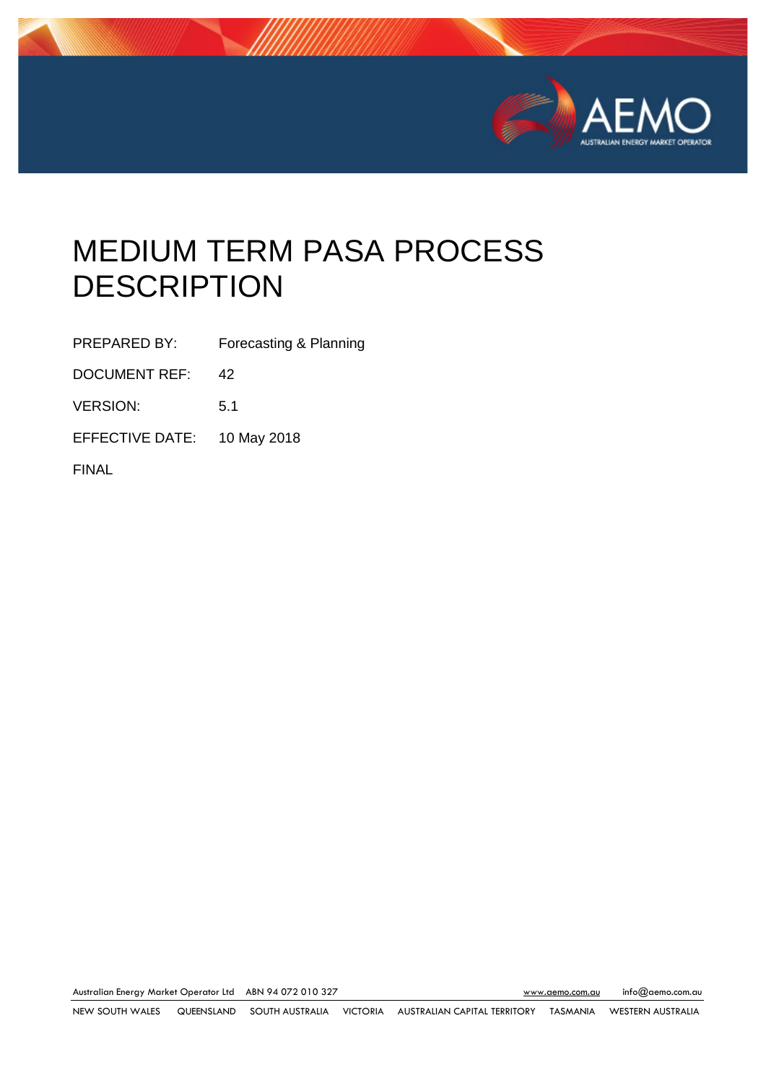

# MEDIUM TERM PASA PROCESS **DESCRIPTION**

PREPARED BY: Forecasting & Planning

DOCUMENT REF: 42

VERSION: 5.1

EFFECTIVE DATE: 10 May 2018

FINAL

Australian Energy Market Operator Ltd ABN 94 072 010 327 [www.aemo.com.au](http://www.aemo.com.au/) [info@aemo.com.au](mailto:info@aemo.com.au) info@aemo.com.au

NEW SOUTH WALES QUEENSLAND SOUTH AUSTRALIA VICTORIA AUSTRALIAN CAPITAL TERRITORY TASMANIA WESTERN AUSTRALIA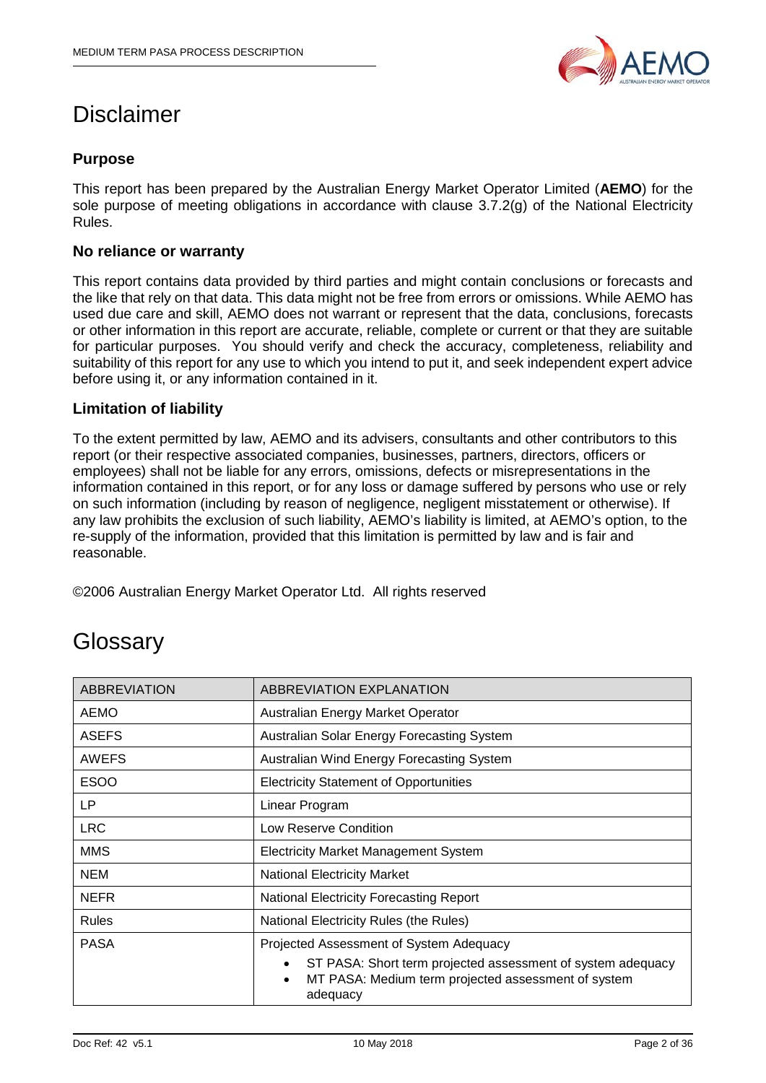

# Disclaimer

# **Purpose**

This report has been prepared by the Australian Energy Market Operator Limited (**AEMO**) for the sole purpose of meeting obligations in accordance with clause 3.7.2(g) of the National Electricity Rules.

## **No reliance or warranty**

This report contains data provided by third parties and might contain conclusions or forecasts and the like that rely on that data. This data might not be free from errors or omissions. While AEMO has used due care and skill, AEMO does not warrant or represent that the data, conclusions, forecasts or other information in this report are accurate, reliable, complete or current or that they are suitable for particular purposes. You should verify and check the accuracy, completeness, reliability and suitability of this report for any use to which you intend to put it, and seek independent expert advice before using it, or any information contained in it.

## **Limitation of liability**

To the extent permitted by law, AEMO and its advisers, consultants and other contributors to this report (or their respective associated companies, businesses, partners, directors, officers or employees) shall not be liable for any errors, omissions, defects or misrepresentations in the information contained in this report, or for any loss or damage suffered by persons who use or rely on such information (including by reason of negligence, negligent misstatement or otherwise). If any law prohibits the exclusion of such liability, AEMO's liability is limited, at AEMO's option, to the re-supply of the information, provided that this limitation is permitted by law and is fair and reasonable.

©2006 Australian Energy Market Operator Ltd. All rights reserved

# **Glossary**

| <b>ABBREVIATION</b> | ABBREVIATION EXPLANATION                                                                                                                                 |  |  |
|---------------------|----------------------------------------------------------------------------------------------------------------------------------------------------------|--|--|
| AEMO                | Australian Energy Market Operator                                                                                                                        |  |  |
| <b>ASEFS</b>        | Australian Solar Energy Forecasting System                                                                                                               |  |  |
| <b>AWEFS</b>        | Australian Wind Energy Forecasting System                                                                                                                |  |  |
| <b>ESOO</b>         | <b>Electricity Statement of Opportunities</b>                                                                                                            |  |  |
| LP                  | Linear Program                                                                                                                                           |  |  |
| <b>LRC</b>          | Low Reserve Condition                                                                                                                                    |  |  |
| <b>MMS</b>          | <b>Electricity Market Management System</b>                                                                                                              |  |  |
| <b>NEM</b>          | <b>National Electricity Market</b>                                                                                                                       |  |  |
| <b>NEFR</b>         | <b>National Electricity Forecasting Report</b>                                                                                                           |  |  |
| <b>Rules</b>        | National Electricity Rules (the Rules)                                                                                                                   |  |  |
| <b>PASA</b>         | Projected Assessment of System Adequacy                                                                                                                  |  |  |
|                     | ST PASA: Short term projected assessment of system adequacy<br>$\bullet$<br>MT PASA: Medium term projected assessment of system<br>$\bullet$<br>adequacy |  |  |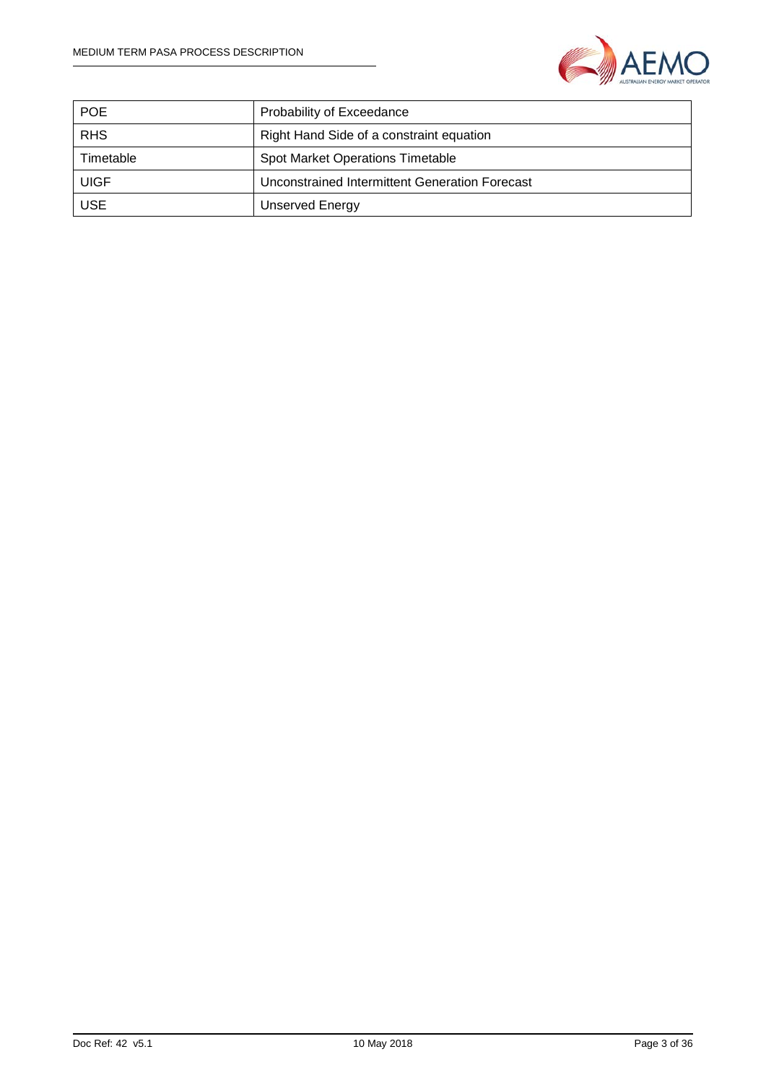

| <b>POE</b>  | Probability of Exceedance                      |  |
|-------------|------------------------------------------------|--|
| <b>RHS</b>  | Right Hand Side of a constraint equation       |  |
| Timetable   | <b>Spot Market Operations Timetable</b>        |  |
| <b>UIGF</b> | Unconstrained Intermittent Generation Forecast |  |
| <b>USE</b>  | <b>Unserved Energy</b>                         |  |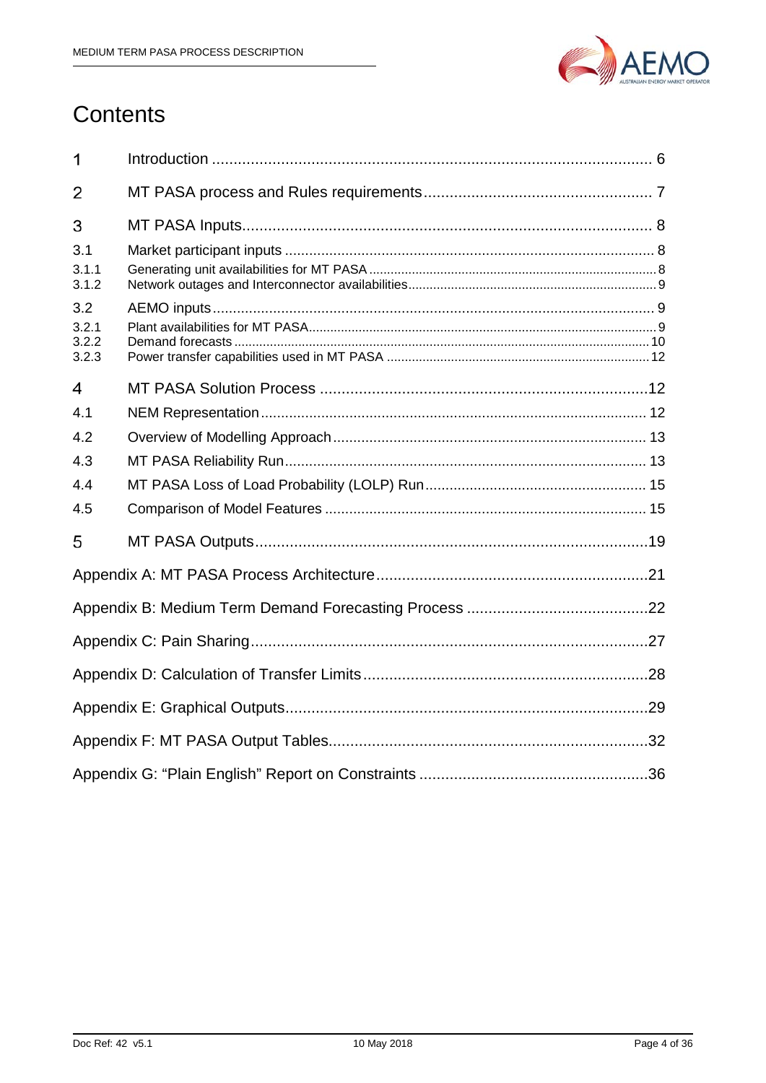

# Contents

| 1              |  |  |  |
|----------------|--|--|--|
| 2              |  |  |  |
| 3              |  |  |  |
| 3.1            |  |  |  |
| 3.1.1<br>3.1.2 |  |  |  |
| 3.2            |  |  |  |
| 3.2.1<br>3.2.2 |  |  |  |
| 3.2.3          |  |  |  |
| 4              |  |  |  |
| 4.1            |  |  |  |
| 4.2            |  |  |  |
| 4.3            |  |  |  |
| 4.4            |  |  |  |
| 4.5            |  |  |  |
| 5              |  |  |  |
|                |  |  |  |
|                |  |  |  |
|                |  |  |  |
|                |  |  |  |
|                |  |  |  |
|                |  |  |  |
|                |  |  |  |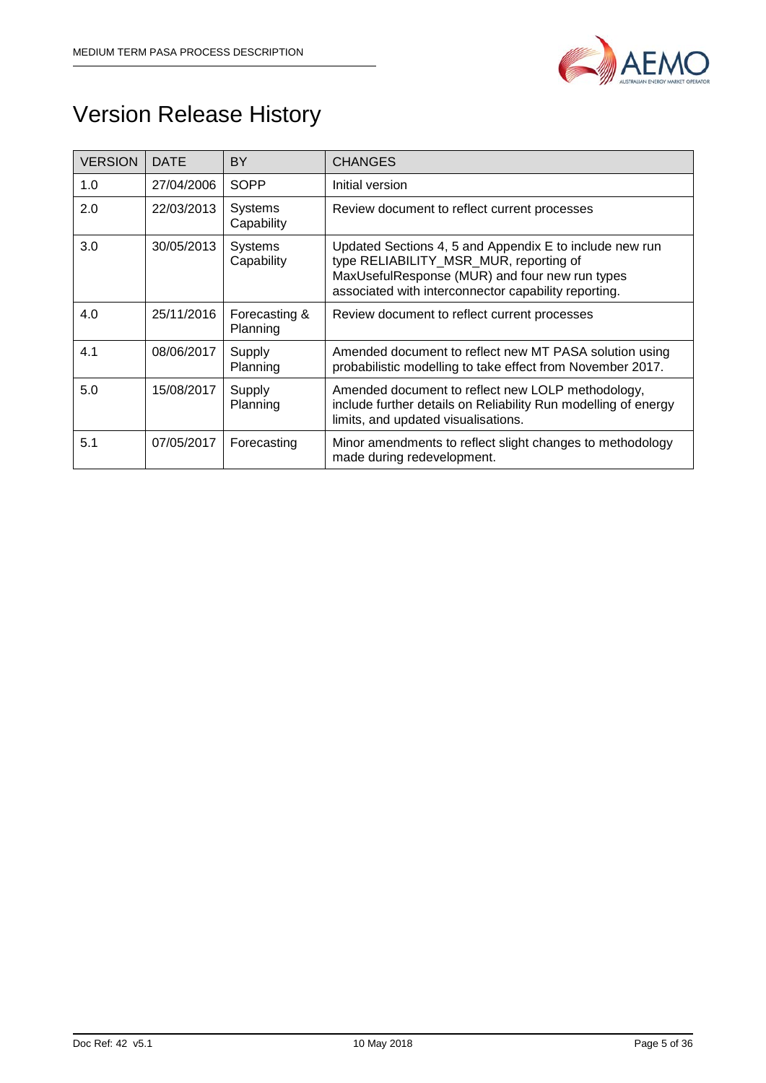

# Version Release History

| <b>VERSION</b> | <b>DATE</b> | <b>BY</b>                    | <b>CHANGES</b>                                                                                                                                                                                              |  |
|----------------|-------------|------------------------------|-------------------------------------------------------------------------------------------------------------------------------------------------------------------------------------------------------------|--|
| 1.0            | 27/04/2006  | <b>SOPP</b>                  | Initial version                                                                                                                                                                                             |  |
| 2.0            | 22/03/2013  | <b>Systems</b><br>Capability | Review document to reflect current processes                                                                                                                                                                |  |
| 3.0            | 30/05/2013  | Systems<br>Capability        | Updated Sections 4, 5 and Appendix E to include new run<br>type RELIABILITY_MSR_MUR, reporting of<br>MaxUsefulResponse (MUR) and four new run types<br>associated with interconnector capability reporting. |  |
| 4.0            | 25/11/2016  | Forecasting &<br>Planning    | Review document to reflect current processes                                                                                                                                                                |  |
| 4.1            | 08/06/2017  | Supply<br>Planning           | Amended document to reflect new MT PASA solution using<br>probabilistic modelling to take effect from November 2017.                                                                                        |  |
| 5.0            | 15/08/2017  | Supply<br>Planning           | Amended document to reflect new LOLP methodology,<br>include further details on Reliability Run modelling of energy<br>limits, and updated visualisations.                                                  |  |
| 5.1            | 07/05/2017  | Forecasting                  | Minor amendments to reflect slight changes to methodology<br>made during redevelopment.                                                                                                                     |  |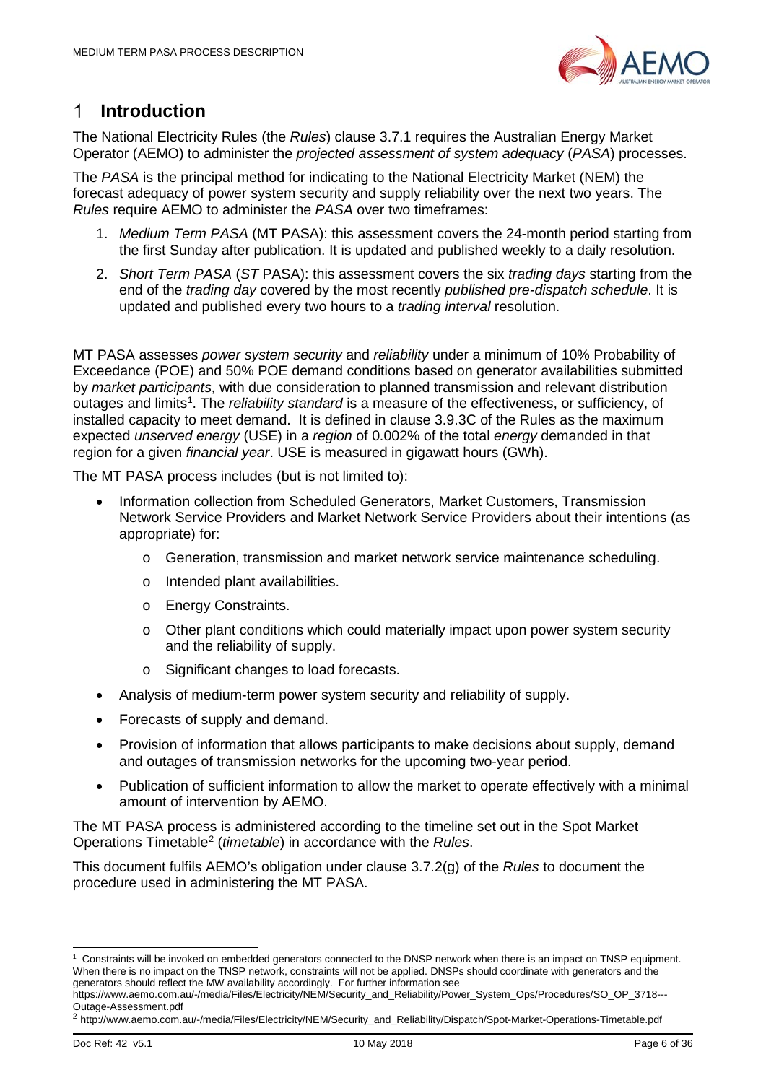

#### <span id="page-5-0"></span>**Introduction** 1

The National Electricity Rules (the *Rules*) clause 3.7.1 requires the Australian Energy Market Operator (AEMO) to administer the *projected assessment of system adequacy* (*PASA*) processes.

The *PASA* is the principal method for indicating to the National Electricity Market (NEM) the forecast adequacy of power system security and supply reliability over the next two years. The *Rules* require AEMO to administer the *PASA* over two timeframes:

- 1. *Medium Term PASA* (MT PASA): this assessment covers the 24-month period starting from the first Sunday after publication. It is updated and published weekly to a daily resolution.
- 2. *Short Term PASA* (*ST* PASA): this assessment covers the six *trading days* starting from the end of the *trading day* covered by the most recently *published pre-dispatch schedule*. It is updated and published every two hours to a *trading interval* resolution.

MT PASA assesses *power system security* and *reliability* under a minimum of 10% Probability of Exceedance (POE) and 50% POE demand conditions based on generator availabilities submitted by *market participants*, with due consideration to planned transmission and relevant distribution outages and limits<sup>[1](#page-5-1)</sup>. The *reliability standard* is a measure of the effectiveness, or sufficiency, of installed capacity to meet demand. It is defined in clause 3.9.3C of the Rules as the maximum expected *unserved energy* (USE) in a *region* of 0.002% of the total *energy* demanded in that region for a given *financial year*. USE is measured in gigawatt hours (GWh).

The MT PASA process includes (but is not limited to):

- Information collection from Scheduled Generators, Market Customers, Transmission Network Service Providers and Market Network Service Providers about their intentions (as appropriate) for:
	- o Generation, transmission and market network service maintenance scheduling.
	- o Intended plant availabilities.
	- o Energy Constraints.
	- $\circ$  Other plant conditions which could materially impact upon power system security and the reliability of supply.
	- o Significant changes to load forecasts.
- Analysis of medium-term power system security and reliability of supply.
- Forecasts of supply and demand.
- Provision of information that allows participants to make decisions about supply, demand and outages of transmission networks for the upcoming two-year period.
- Publication of sufficient information to allow the market to operate effectively with a minimal amount of intervention by AEMO.

The MT PASA process is administered according to the timeline set out in the Spot Market Operations Timetable[2](#page-5-2) (*timetable*) in accordance with the *Rules*.

This document fulfils AEMO's obligation under clause 3.7.2(g) of the *Rules* to document the procedure used in administering the MT PASA.

<span id="page-5-1"></span> <sup>1</sup> Constraints will be invoked on embedded generators connected to the DNSP network when there is an impact on TNSP equipment. When there is no impact on the TNSP network, constraints will not be applied. DNSPs should coordinate with generators and the generators should reflect the MW availability accordingly. For further information see

https://www.aemo.com.au/-/media/Files/Electricity/NEM/Security\_and\_Reliability/Power\_System\_Ops/Procedures/SO\_OP\_3718--- Outage-Assessment.pdf

<span id="page-5-2"></span><sup>2</sup> http://www.aemo.com.au/-/media/Files/Electricity/NEM/Security\_and\_Reliability/Dispatch/Spot-Market-Operations-Timetable.pdf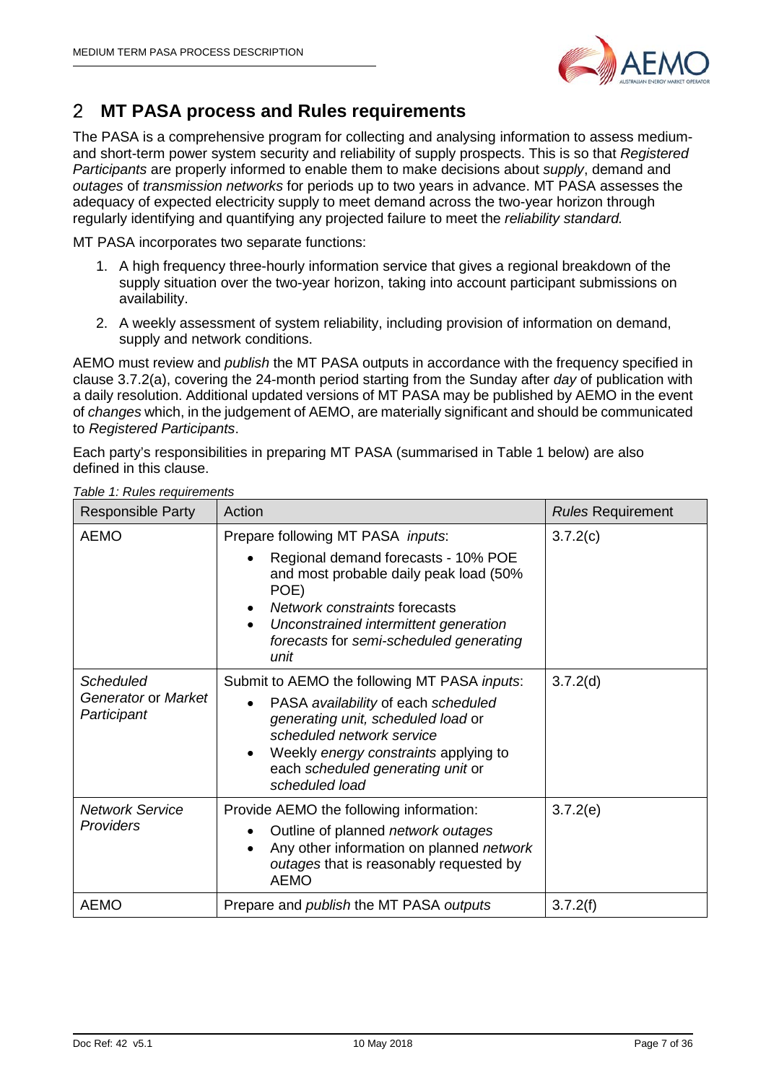

#### <span id="page-6-0"></span>**MT PASA process and Rules requirements**  2

The PASA is a comprehensive program for collecting and analysing information to assess mediumand short-term power system security and reliability of supply prospects. This is so that *Registered Participants* are properly informed to enable them to make decisions about *supply*, demand and *outages* of *transmission networks* for periods up to two years in advance. MT PASA assesses the adequacy of expected electricity supply to meet demand across the two-year horizon through regularly identifying and quantifying any projected failure to meet the *reliability standard.*

MT PASA incorporates two separate functions:

- 1. A high frequency three-hourly information service that gives a regional breakdown of the supply situation over the two-year horizon, taking into account participant submissions on availability.
- 2. A weekly assessment of system reliability, including provision of information on demand, supply and network conditions.

AEMO must review and *publish* the MT PASA outputs in accordance with the frequency specified in clause 3.7.2(a), covering the 24-month period starting from the Sunday after *day* of publication with a daily resolution. Additional updated versions of MT PASA may be published by AEMO in the event of *changes* which, in the judgement of AEMO, are materially significant and should be communicated to *Registered Participants*.

Each party's responsibilities in preparing MT PASA (summarised in Table 1 below) are also defined in this clause.

| <b>Responsible Party</b>                        | Action                                                                                                                                                                                                                                                  | <b>Rules Requirement</b> |
|-------------------------------------------------|---------------------------------------------------------------------------------------------------------------------------------------------------------------------------------------------------------------------------------------------------------|--------------------------|
| <b>AEMO</b>                                     | Prepare following MT PASA inputs:<br>Regional demand forecasts - 10% POE<br>and most probable daily peak load (50%<br>POE)<br>Network constraints forecasts<br>Unconstrained intermittent generation<br>forecasts for semi-scheduled generating<br>unit | 3.7.2(c)                 |
| Scheduled<br>Generator or Market<br>Participant | Submit to AEMO the following MT PASA inputs:<br>PASA availability of each scheduled<br>generating unit, scheduled load or<br>scheduled network service<br>Weekly energy constraints applying to<br>each scheduled generating unit or<br>scheduled load  | 3.7.2(d)                 |
| <b>Network Service</b><br>Providers             | Provide AEMO the following information:<br>Outline of planned network outages<br>Any other information on planned network<br>outages that is reasonably requested by<br><b>AEMO</b>                                                                     | 3.7.2(e)                 |
| <b>AEMO</b>                                     | Prepare and <i>publish</i> the MT PASA <i>outputs</i>                                                                                                                                                                                                   | 3.7.2(f)                 |

*Table 1: Rules requirements*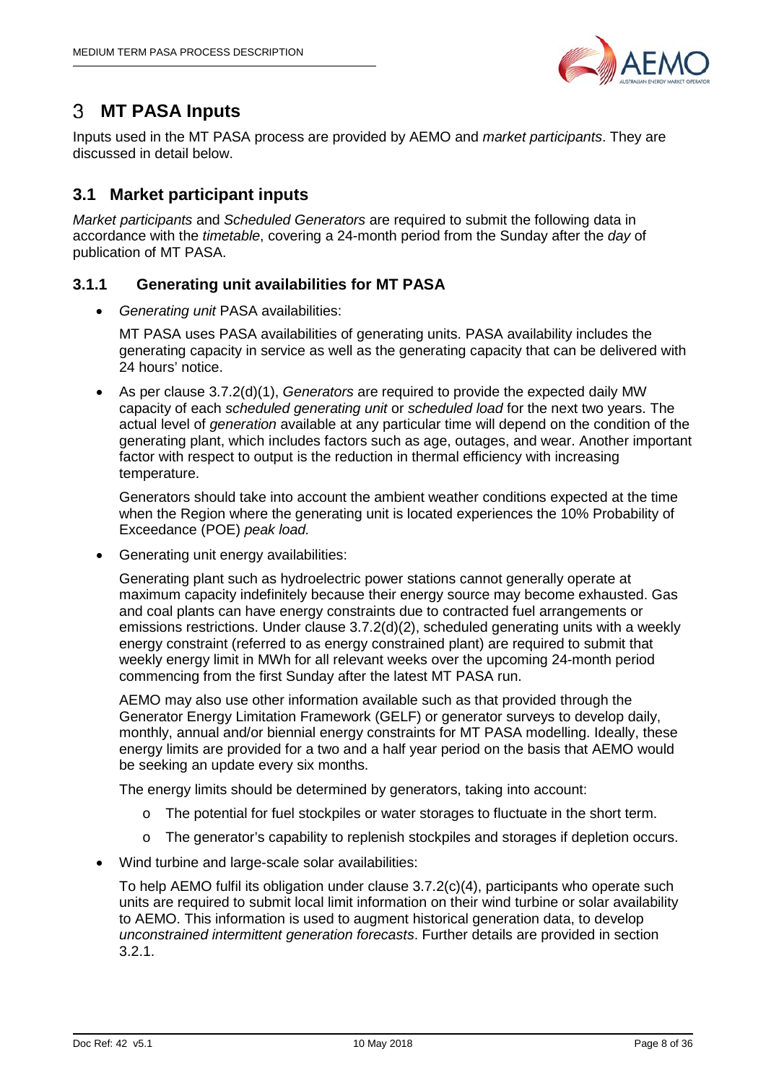

#### <span id="page-7-0"></span> $3<sup>1</sup>$ **MT PASA Inputs**

Inputs used in the MT PASA process are provided by AEMO and *market participants*. They are discussed in detail below.

# <span id="page-7-1"></span>**3.1 Market participant inputs**

*Market participants* and *Scheduled Generators* are required to submit the following data in accordance with the *timetable*, covering a 24-month period from the Sunday after the *day* of publication of MT PASA.

# <span id="page-7-2"></span>**3.1.1 Generating unit availabilities for MT PASA**

• *Generating unit* PASA availabilities:

MT PASA uses PASA availabilities of generating units. PASA availability includes the generating capacity in service as well as the generating capacity that can be delivered with 24 hours' notice.

• As per clause 3.7.2(d)(1), *Generators* are required to provide the expected daily MW capacity of each *scheduled generating unit* or *scheduled load* for the next two years. The actual level of *generation* available at any particular time will depend on the condition of the generating plant, which includes factors such as age, outages, and wear. Another important factor with respect to output is the reduction in thermal efficiency with increasing temperature.

Generators should take into account the ambient weather conditions expected at the time when the Region where the generating unit is located experiences the 10% Probability of Exceedance (POE) *peak load.*

• Generating unit energy availabilities:

Generating plant such as hydroelectric power stations cannot generally operate at maximum capacity indefinitely because their energy source may become exhausted. Gas and coal plants can have energy constraints due to contracted fuel arrangements or emissions restrictions. Under clause 3.7.2(d)(2), scheduled generating units with a weekly energy constraint (referred to as energy constrained plant) are required to submit that weekly energy limit in MWh for all relevant weeks over the upcoming 24-month period commencing from the first Sunday after the latest MT PASA run.

AEMO may also use other information available such as that provided through the Generator Energy Limitation Framework (GELF) or generator surveys to develop daily, monthly, annual and/or biennial energy constraints for MT PASA modelling. Ideally, these energy limits are provided for a two and a half year period on the basis that AEMO would be seeking an update every six months.

The energy limits should be determined by generators, taking into account:

- o The potential for fuel stockpiles or water storages to fluctuate in the short term.
- o The generator's capability to replenish stockpiles and storages if depletion occurs.
- Wind turbine and large-scale solar availabilities:

To help AEMO fulfil its obligation under clause 3.7.2(c)(4), participants who operate such units are required to submit local limit information on their wind turbine or solar availability to AEMO. This information is used to augment historical generation data, to develop *unconstrained intermittent generation forecasts*. Further details are provided in section 3.2.1.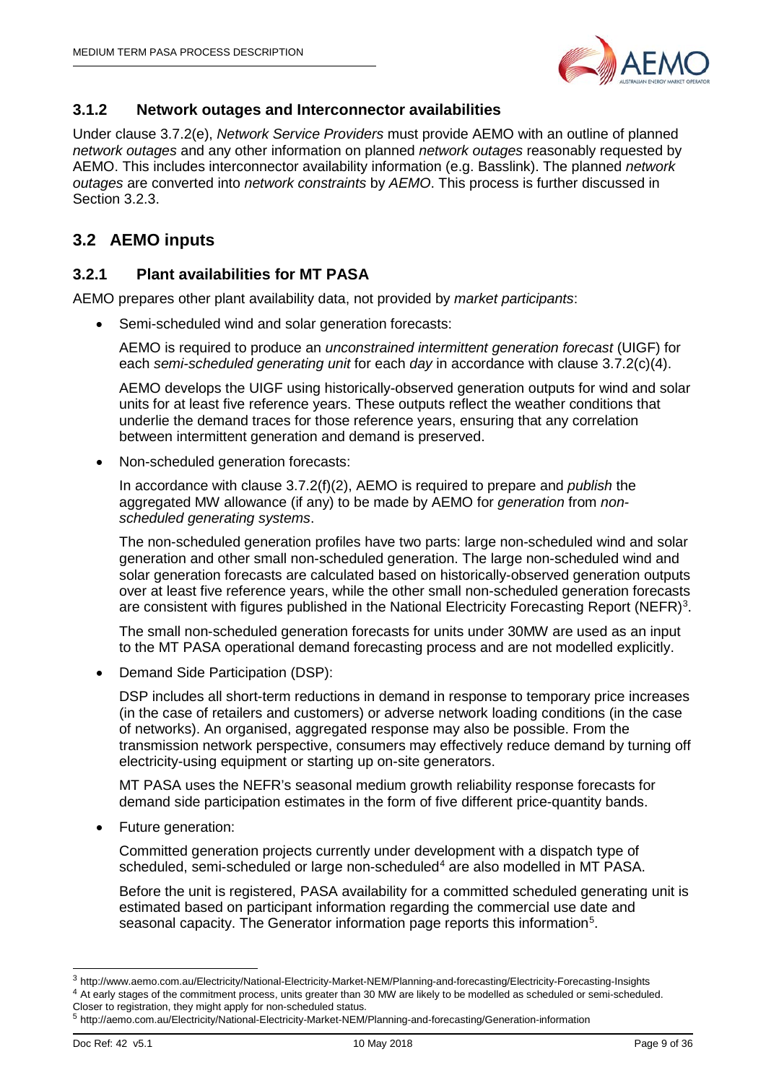

# <span id="page-8-0"></span>**3.1.2 Network outages and Interconnector availabilities**

Under clause 3.7.2(e), *Network Service Providers* must provide AEMO with an outline of planned *network outages* and any other information on planned *network outages* reasonably requested by AEMO. This includes interconnector availability information (e.g. Basslink). The planned *network outages* are converted into *network constraints* by *AEMO*. This process is further discussed in Section [3.2.3.](#page-11-0)

# <span id="page-8-1"></span>**3.2 AEMO inputs**

## <span id="page-8-2"></span>**3.2.1 Plant availabilities for MT PASA**

AEMO prepares other plant availability data, not provided by *market participants*:

• Semi-scheduled wind and solar generation forecasts:

AEMO is required to produce an *unconstrained intermittent generation forecast* (UIGF) for each *semi-scheduled generating unit* for each *day* in accordance with clause 3.7.2(c)(4).

AEMO develops the UIGF using historically-observed generation outputs for wind and solar units for at least five reference years. These outputs reflect the weather conditions that underlie the demand traces for those reference years, ensuring that any correlation between intermittent generation and demand is preserved.

• Non-scheduled generation forecasts:

In accordance with clause 3.7.2(f)(2), AEMO is required to prepare and *publish* the aggregated MW allowance (if any) to be made by AEMO for *generation* from *nonscheduled generating systems*.

The non-scheduled generation profiles have two parts: large non-scheduled wind and solar generation and other small non-scheduled generation. The large non-scheduled wind and solar generation forecasts are calculated based on historically-observed generation outputs over at least five reference years, while the other small non-scheduled generation forecasts are consistent with figures published in the National Electricity Forecasting Report (NEFR)<sup>[3](#page-8-3)</sup>.

The small non-scheduled generation forecasts for units under 30MW are used as an input to the MT PASA operational demand forecasting process and are not modelled explicitly.

• Demand Side Participation (DSP):

DSP includes all short-term reductions in demand in response to temporary price increases (in the case of retailers and customers) or adverse network loading conditions (in the case of networks). An organised, aggregated response may also be possible. From the transmission network perspective, consumers may effectively reduce demand by turning off electricity-using equipment or starting up on-site generators.

MT PASA uses the NEFR's seasonal medium growth reliability response forecasts for demand side participation estimates in the form of five different price-quantity bands.

• Future generation:

Committed generation projects currently under development with a dispatch type of scheduled, semi-scheduled or large non-scheduled<sup>[4](#page-8-4)</sup> are also modelled in MT PASA.

Before the unit is registered, PASA availability for a committed scheduled generating unit is estimated based on participant information regarding the commercial use date and seasonal capacity. The Generator information page reports this information<sup>[5](#page-8-5)</sup>.

<span id="page-8-4"></span><span id="page-8-3"></span> <sup>3</sup> http://www.aemo.com.au/Electricity/National-Electricity-Market-NEM/Planning-and-forecasting/Electricity-Forecasting-Insights <sup>4</sup> At early stages of the commitment process, units greater than 30 MW are likely to be modelled as scheduled or semi-scheduled. Closer to registration, they might apply for non-scheduled status.

<span id="page-8-5"></span><sup>5</sup> http://aemo.com.au/Electricity/National-Electricity-Market-NEM/Planning-and-forecasting/Generation-information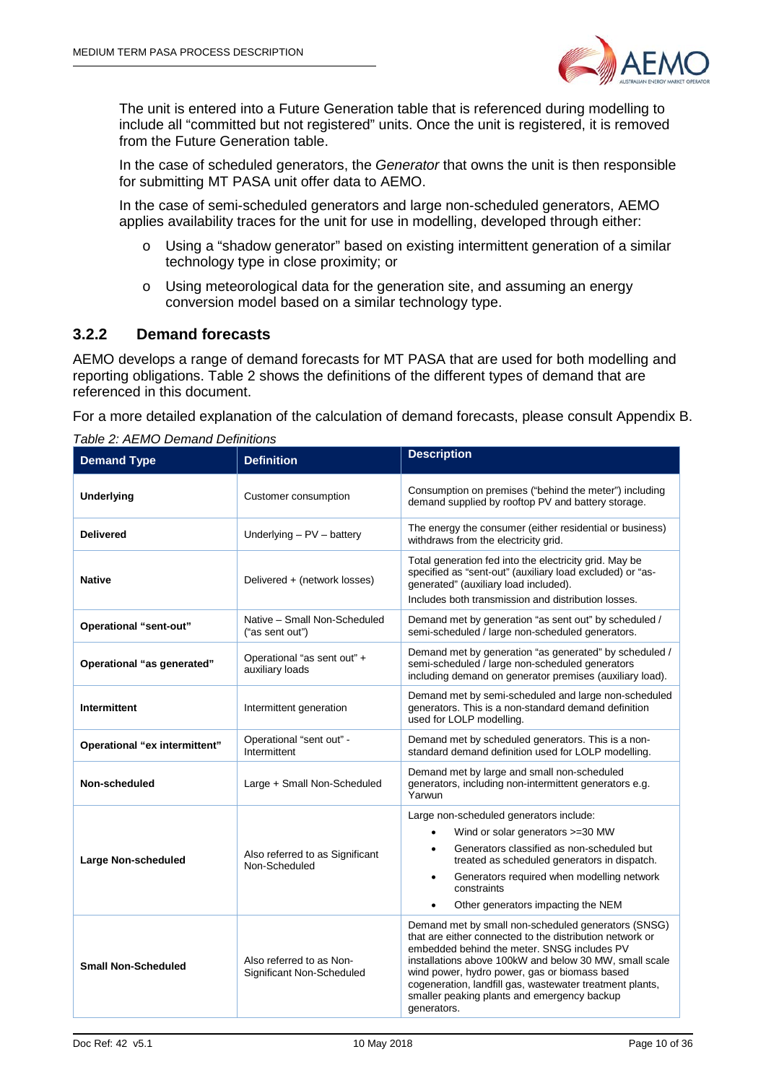

The unit is entered into a Future Generation table that is referenced during modelling to include all "committed but not registered" units. Once the unit is registered, it is removed from the Future Generation table.

In the case of scheduled generators, the *Generator* that owns the unit is then responsible for submitting MT PASA unit offer data to AEMO.

In the case of semi-scheduled generators and large non-scheduled generators, AEMO applies availability traces for the unit for use in modelling, developed through either:

- o Using a "shadow generator" based on existing intermittent generation of a similar technology type in close proximity; or
- o Using meteorological data for the generation site, and assuming an energy conversion model based on a similar technology type.

## <span id="page-9-0"></span>**3.2.2 Demand forecasts**

AEMO develops a range of demand forecasts for MT PASA that are used for both modelling and reporting obligations. [Table 2](#page-9-1) shows the definitions of the different types of demand that are referenced in this document.

For a more detailed explanation of the calculation of demand forecasts, please consult Appendix B.

| <b>Demand Type</b>            | <b>Definition</b>                                     | <b>Description</b>                                                                                                                                                                                                                                                                                                                                                                                  |  |
|-------------------------------|-------------------------------------------------------|-----------------------------------------------------------------------------------------------------------------------------------------------------------------------------------------------------------------------------------------------------------------------------------------------------------------------------------------------------------------------------------------------------|--|
| Underlying                    | Customer consumption                                  | Consumption on premises ("behind the meter") including<br>demand supplied by rooftop PV and battery storage.                                                                                                                                                                                                                                                                                        |  |
| <b>Delivered</b>              | Underlying $- PV - battery$                           | The energy the consumer (either residential or business)<br>withdraws from the electricity grid.                                                                                                                                                                                                                                                                                                    |  |
| <b>Native</b>                 | Delivered + (network losses)                          | Total generation fed into the electricity grid. May be<br>specified as "sent-out" (auxiliary load excluded) or "as-<br>generated" (auxiliary load included).<br>Includes both transmission and distribution losses.                                                                                                                                                                                 |  |
| Operational "sent-out"        | Native - Small Non-Scheduled<br>("as sent out")       | Demand met by generation "as sent out" by scheduled /<br>semi-scheduled / large non-scheduled generators.                                                                                                                                                                                                                                                                                           |  |
| Operational "as generated"    | Operational "as sent out" +<br>auxiliary loads        | Demand met by generation "as generated" by scheduled /<br>semi-scheduled / large non-scheduled generators<br>including demand on generator premises (auxiliary load).                                                                                                                                                                                                                               |  |
| Intermittent                  | Intermittent generation                               | Demand met by semi-scheduled and large non-scheduled<br>generators. This is a non-standard demand definition<br>used for LOLP modelling.                                                                                                                                                                                                                                                            |  |
| Operational "ex intermittent" | Operational "sent out" -<br>Intermittent              | Demand met by scheduled generators. This is a non-<br>standard demand definition used for LOLP modelling.                                                                                                                                                                                                                                                                                           |  |
| Non-scheduled                 | Large + Small Non-Scheduled                           | Demand met by large and small non-scheduled<br>generators, including non-intermittent generators e.g.<br>Yarwun                                                                                                                                                                                                                                                                                     |  |
| <b>Large Non-scheduled</b>    | Also referred to as Significant<br>Non-Scheduled      | Large non-scheduled generators include:<br>Wind or solar generators >=30 MW<br>Generators classified as non-scheduled but<br>treated as scheduled generators in dispatch.<br>Generators required when modelling network<br>$\bullet$<br>constraints<br>Other generators impacting the NEM<br>$\bullet$                                                                                              |  |
| <b>Small Non-Scheduled</b>    | Also referred to as Non-<br>Significant Non-Scheduled | Demand met by small non-scheduled generators (SNSG)<br>that are either connected to the distribution network or<br>embedded behind the meter. SNSG includes PV<br>installations above 100kW and below 30 MW, small scale<br>wind power, hydro power, gas or biomass based<br>cogeneration, landfill gas, wastewater treatment plants,<br>smaller peaking plants and emergency backup<br>generators. |  |

<span id="page-9-1"></span>*Table 2: AEMO Demand Definitions*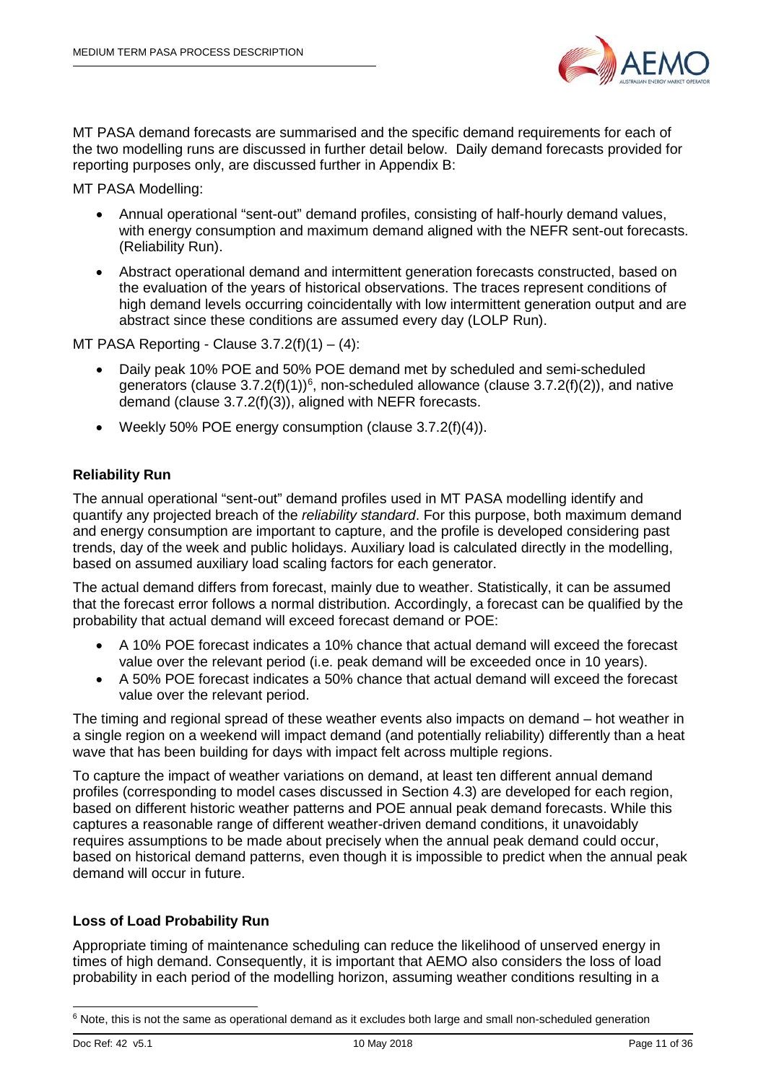

MT PASA demand forecasts are summarised and the specific demand requirements for each of the two modelling runs are discussed in further detail below. Daily demand forecasts provided for reporting purposes only, are discussed further in Appendix B:

MT PASA Modelling:

- Annual operational "sent-out" demand profiles, consisting of half-hourly demand values, with energy consumption and maximum demand aligned with the NEFR sent-out forecasts. (Reliability Run).
- Abstract operational demand and intermittent generation forecasts constructed, based on the evaluation of the years of historical observations. The traces represent conditions of high demand levels occurring coincidentally with low intermittent generation output and are abstract since these conditions are assumed every day (LOLP Run).

MT PASA Reporting - Clause  $3.7.2(f)(1) - (4)$ :

- Daily peak 10% POE and 50% POE demand met by scheduled and semi-scheduled generators (clause  $3.7.2(f)(1)$ <sup>[6](#page-10-0)</sup>, non-scheduled allowance (clause  $3.7.2(f)(2)$ ), and native demand (clause 3.7.2(f)(3)), aligned with NEFR forecasts.
- Weekly 50% POE energy consumption (clause 3.7.2(f)(4)).

## **Reliability Run**

The annual operational "sent-out" demand profiles used in MT PASA modelling identify and quantify any projected breach of the *reliability standard*. For this purpose, both maximum demand and energy consumption are important to capture, and the profile is developed considering past trends, day of the week and public holidays. Auxiliary load is calculated directly in the modelling, based on assumed auxiliary load scaling factors for each generator.

The actual demand differs from forecast, mainly due to weather. Statistically, it can be assumed that the forecast error follows a normal distribution. Accordingly, a forecast can be qualified by the probability that actual demand will exceed forecast demand or POE:

- A 10% POE forecast indicates a 10% chance that actual demand will exceed the forecast value over the relevant period (i.e. peak demand will be exceeded once in 10 years).
- A 50% POE forecast indicates a 50% chance that actual demand will exceed the forecast value over the relevant period.

The timing and regional spread of these weather events also impacts on demand – hot weather in a single region on a weekend will impact demand (and potentially reliability) differently than a heat wave that has been building for days with impact felt across multiple regions.

To capture the impact of weather variations on demand, at least ten different annual demand profiles (corresponding to model cases discussed in Section 4.3) are developed for each region, based on different historic weather patterns and POE annual peak demand forecasts. While this captures a reasonable range of different weather-driven demand conditions, it unavoidably requires assumptions to be made about precisely when the annual peak demand could occur, based on historical demand patterns, even though it is impossible to predict when the annual peak demand will occur in future.

## **Loss of Load Probability Run**

Appropriate timing of maintenance scheduling can reduce the likelihood of unserved energy in times of high demand. Consequently, it is important that AEMO also considers the loss of load probability in each period of the modelling horizon, assuming weather conditions resulting in a

<span id="page-10-0"></span> $6$  Note, this is not the same as operational demand as it excludes both large and small non-scheduled generation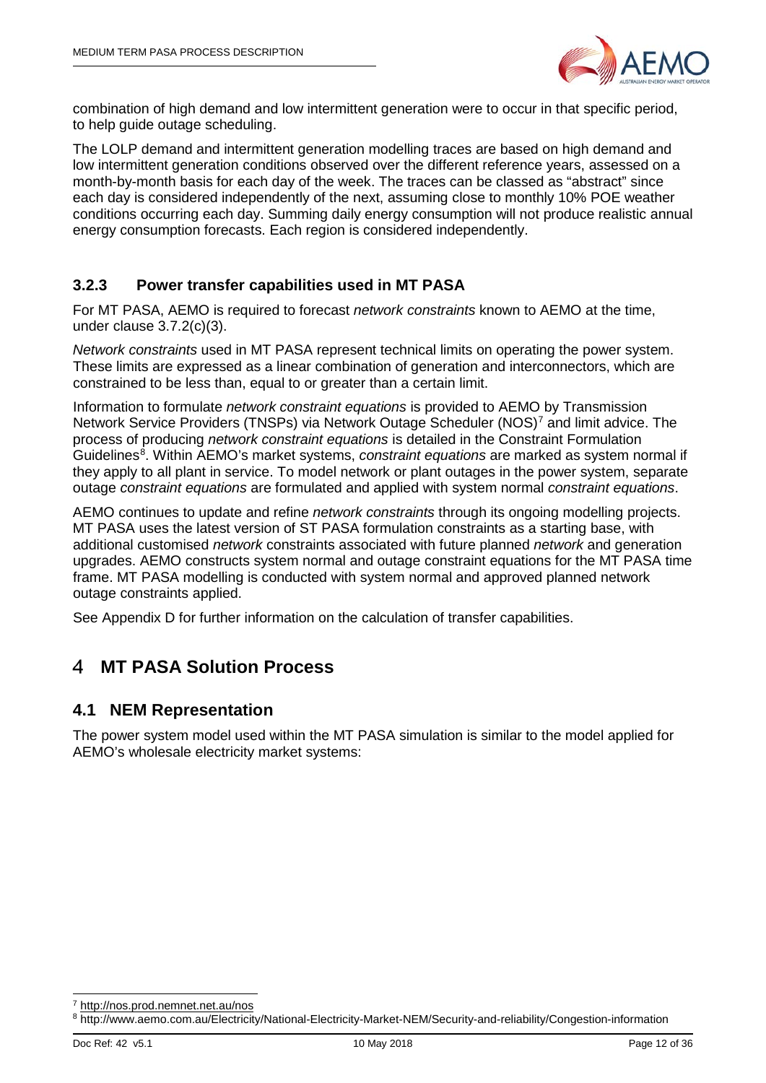

combination of high demand and low intermittent generation were to occur in that specific period, to help guide outage scheduling.

The LOLP demand and intermittent generation modelling traces are based on high demand and low intermittent generation conditions observed over the different reference years, assessed on a month-by-month basis for each day of the week. The traces can be classed as "abstract" since each day is considered independently of the next, assuming close to monthly 10% POE weather conditions occurring each day. Summing daily energy consumption will not produce realistic annual energy consumption forecasts. Each region is considered independently.

# <span id="page-11-0"></span>**3.2.3 Power transfer capabilities used in MT PASA**

For MT PASA, AEMO is required to forecast *network constraints* known to AEMO at the time, under clause 3.7.2(c)(3).

*Network constraints* used in MT PASA represent technical limits on operating the power system. These limits are expressed as a linear combination of generation and interconnectors, which are constrained to be less than, equal to or greater than a certain limit.

Information to formulate *network constraint equations* is provided to AEMO by Transmission Network Service Providers (TNSPs) via Network Outage Scheduler (NOS)[7](#page-11-3) and limit advice. The process of producing *network constraint equations* is detailed in the Constraint Formulation Guidelines<sup>[8](#page-11-4)</sup>. Within AEMO's market systems, *constraint equations* are marked as system normal if they apply to all plant in service. To model network or plant outages in the power system, separate outage *constraint equations* are formulated and applied with system normal *constraint equations*.

AEMO continues to update and refine *network constraints* through its ongoing modelling projects. MT PASA uses the latest version of ST PASA formulation constraints as a starting base, with additional customised *network* constraints associated with future planned *network* and generation upgrades. AEMO constructs system normal and outage constraint equations for the MT PASA time frame. MT PASA modelling is conducted with system normal and approved planned network outage constraints applied.

<span id="page-11-1"></span>See Appendix D for further information on the calculation of transfer capabilities.

#### 4 **MT PASA Solution Process**

# <span id="page-11-2"></span>**4.1 NEM Representation**

The power system model used within the MT PASA simulation is similar to the model applied for AEMO's wholesale electricity market systems:

<span id="page-11-3"></span><http://nos.prod.nemnet.net.au/nos>

<span id="page-11-4"></span><sup>8</sup> http://www.aemo.com.au/Electricity/National-Electricity-Market-NEM/Security-and-reliability/Congestion-information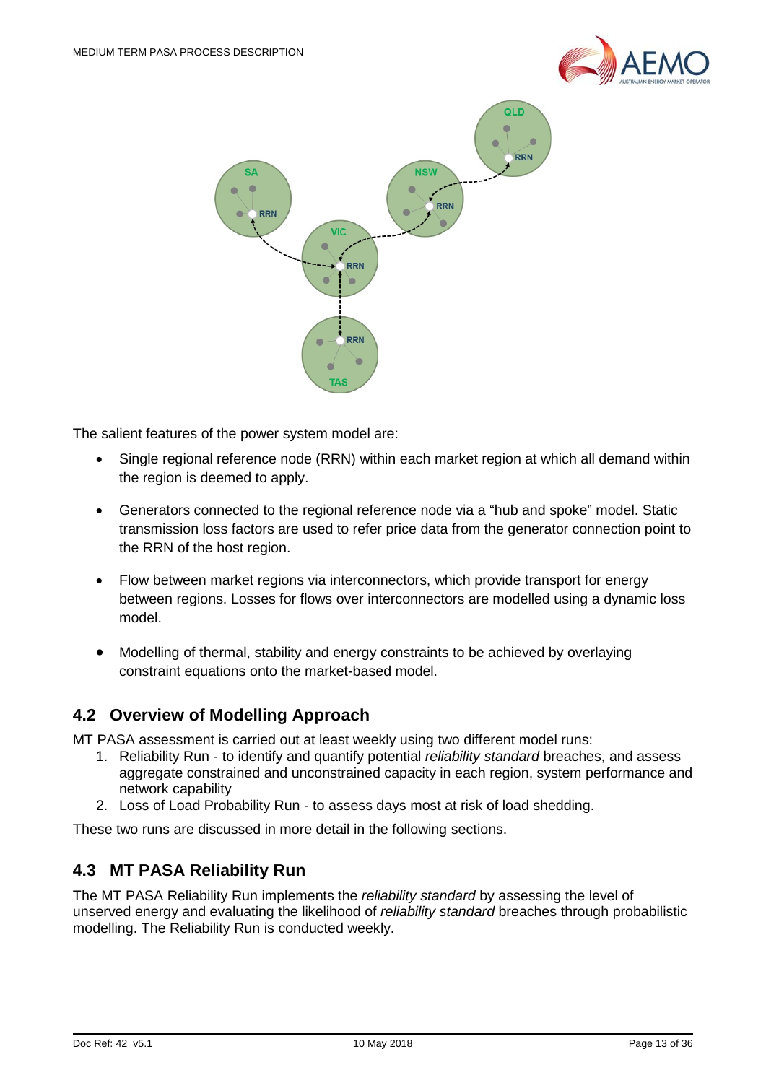



The salient features of the power system model are:

- Single regional reference node (RRN) within each market region at which all demand within the region is deemed to apply.
- Generators connected to the regional reference node via a "hub and spoke" model. Static transmission loss factors are used to refer price data from the generator connection point to the RRN of the host region.
- Flow between market regions via interconnectors, which provide transport for energy between regions. Losses for flows over interconnectors are modelled using a dynamic loss model.
- Modelling of thermal, stability and energy constraints to be achieved by overlaying constraint equations onto the market-based model.

# <span id="page-12-0"></span>**4.2 Overview of Modelling Approach**

MT PASA assessment is carried out at least weekly using two different model runs:

- 1. Reliability Run to identify and quantify potential *reliability standard* breaches, and assess aggregate constrained and unconstrained capacity in each region, system performance and network capability
- 2. Loss of Load Probability Run to assess days most at risk of load shedding.

These two runs are discussed in more detail in the following sections.

# <span id="page-12-1"></span>**4.3 MT PASA Reliability Run**

The MT PASA Reliability Run implements the *reliability standard* by assessing the level of unserved energy and evaluating the likelihood of *reliability standard* breaches through probabilistic modelling. The Reliability Run is conducted weekly.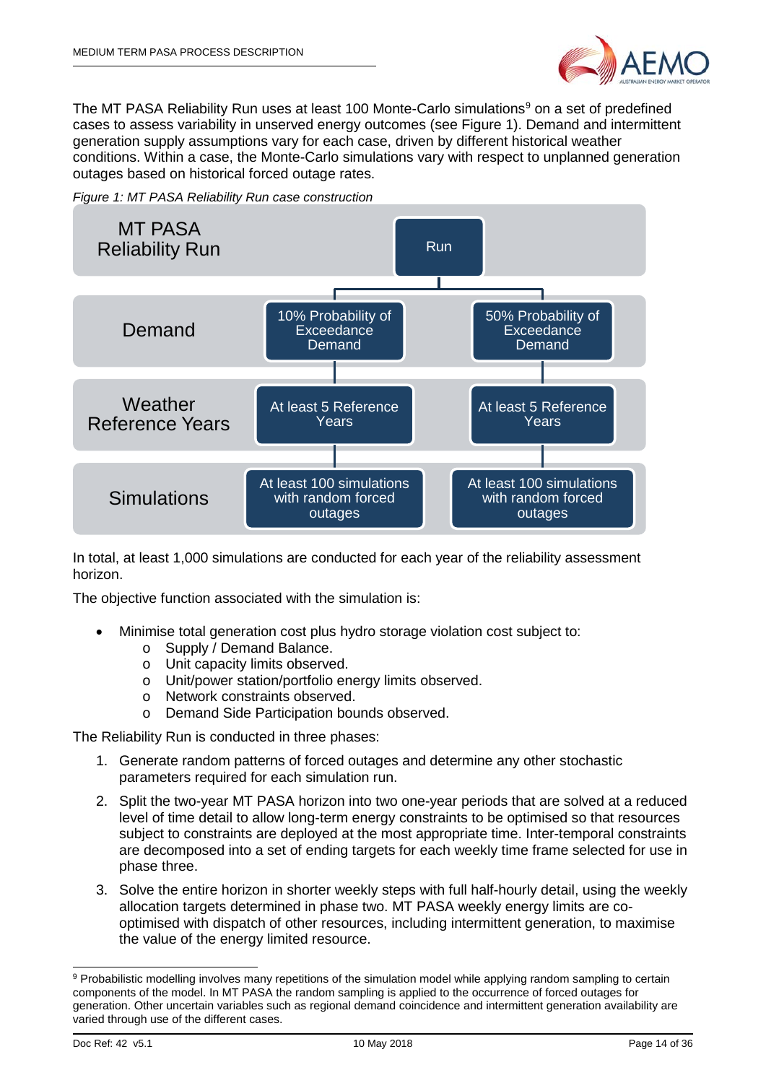

The MT PASA Reliability Run uses at least 100 Monte-Carlo simulations<sup>[9](#page-13-1)</sup> on a set of predefined cases to assess variability in unserved energy outcomes (see [Figure 1\)](#page-13-0). Demand and intermittent generation supply assumptions vary for each case, driven by different historical weather conditions. Within a case, the Monte-Carlo simulations vary with respect to unplanned generation outages based on historical forced outage rates.

<span id="page-13-0"></span>



In total, at least 1,000 simulations are conducted for each year of the reliability assessment horizon.

The objective function associated with the simulation is:

- Minimise total generation cost plus hydro storage violation cost subject to:
	- o Supply / Demand Balance.
	- o Unit capacity limits observed.
	- o Unit/power station/portfolio energy limits observed.
	- o Network constraints observed.
	- o Demand Side Participation bounds observed.

The Reliability Run is conducted in three phases:

- 1. Generate random patterns of forced outages and determine any other stochastic parameters required for each simulation run.
- 2. Split the two-year MT PASA horizon into two one-year periods that are solved at a reduced level of time detail to allow long-term energy constraints to be optimised so that resources subject to constraints are deployed at the most appropriate time. Inter-temporal constraints are decomposed into a set of ending targets for each weekly time frame selected for use in phase three.
- 3. Solve the entire horizon in shorter weekly steps with full half-hourly detail, using the weekly allocation targets determined in phase two. MT PASA weekly energy limits are cooptimised with dispatch of other resources, including intermittent generation, to maximise the value of the energy limited resource.

<span id="page-13-1"></span><sup>9</sup> Probabilistic modelling involves many repetitions of the simulation model while applying random sampling to certain components of the model. In MT PASA the random sampling is applied to the occurrence of forced outages for generation. Other uncertain variables such as regional demand coincidence and intermittent generation availability are varied through use of the different cases.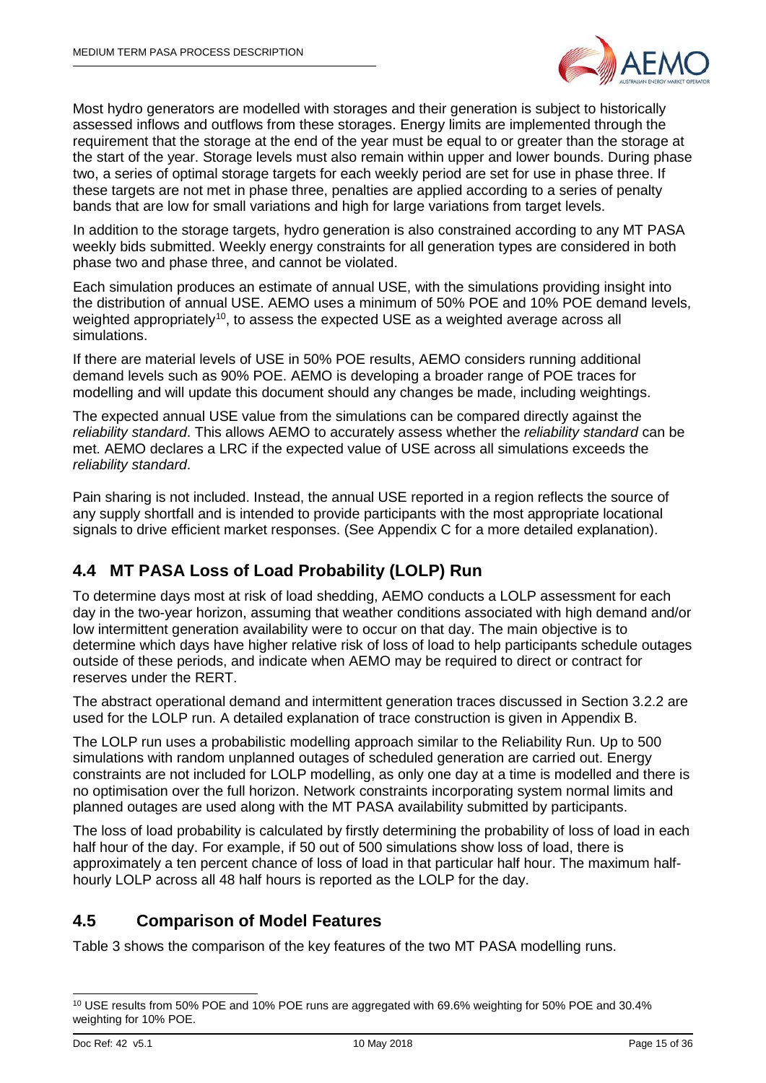

Most hydro generators are modelled with storages and their generation is subject to historically assessed inflows and outflows from these storages. Energy limits are implemented through the requirement that the storage at the end of the year must be equal to or greater than the storage at the start of the year. Storage levels must also remain within upper and lower bounds. During phase two, a series of optimal storage targets for each weekly period are set for use in phase three. If these targets are not met in phase three, penalties are applied according to a series of penalty bands that are low for small variations and high for large variations from target levels.

In addition to the storage targets, hydro generation is also constrained according to any MT PASA weekly bids submitted. Weekly energy constraints for all generation types are considered in both phase two and phase three, and cannot be violated.

Each simulation produces an estimate of annual USE, with the simulations providing insight into the distribution of annual USE. AEMO uses a minimum of 50% POE and 10% POE demand levels, weighted appropriately<sup>10</sup>, to assess the expected USE as a weighted average across all simulations.

If there are material levels of USE in 50% POE results, AEMO considers running additional demand levels such as 90% POE. AEMO is developing a broader range of POE traces for modelling and will update this document should any changes be made, including weightings.

The expected annual USE value from the simulations can be compared directly against the *reliability standard*. This allows AEMO to accurately assess whether the *reliability standard* can be met. AEMO declares a LRC if the expected value of USE across all simulations exceeds the *reliability standard*.

Pain sharing is not included. Instead, the annual USE reported in a region reflects the source of any supply shortfall and is intended to provide participants with the most appropriate locational signals to drive efficient market responses. (See Appendix C for a more detailed explanation).

# <span id="page-14-0"></span>**4.4 MT PASA Loss of Load Probability (LOLP) Run**

To determine days most at risk of load shedding, AEMO conducts a LOLP assessment for each day in the two-year horizon, assuming that weather conditions associated with high demand and/or low intermittent generation availability were to occur on that day. The main objective is to determine which days have higher relative risk of loss of load to help participants schedule outages outside of these periods, and indicate when AEMO may be required to direct or contract for reserves under the RERT.

The abstract operational demand and intermittent generation traces discussed in Section [3.2.2](#page-9-0) are used for the LOLP run. A detailed explanation of trace construction is given in Appendix B.

The LOLP run uses a probabilistic modelling approach similar to the Reliability Run. Up to 500 simulations with random unplanned outages of scheduled generation are carried out. Energy constraints are not included for LOLP modelling, as only one day at a time is modelled and there is no optimisation over the full horizon. Network constraints incorporating system normal limits and planned outages are used along with the MT PASA availability submitted by participants.

The loss of load probability is calculated by firstly determining the probability of loss of load in each half hour of the day. For example, if 50 out of 500 simulations show loss of load, there is approximately a ten percent chance of loss of load in that particular half hour. The maximum halfhourly LOLP across all 48 half hours is reported as the LOLP for the day.

# <span id="page-14-1"></span>**4.5 Comparison of Model Features**

[Table 3](#page-15-0) shows the comparison of the key features of the two MT PASA modelling runs.

<span id="page-14-2"></span> <sup>10</sup> USE results from 50% POE and 10% POE runs are aggregated with 69.6% weighting for 50% POE and 30.4% weighting for 10% POE.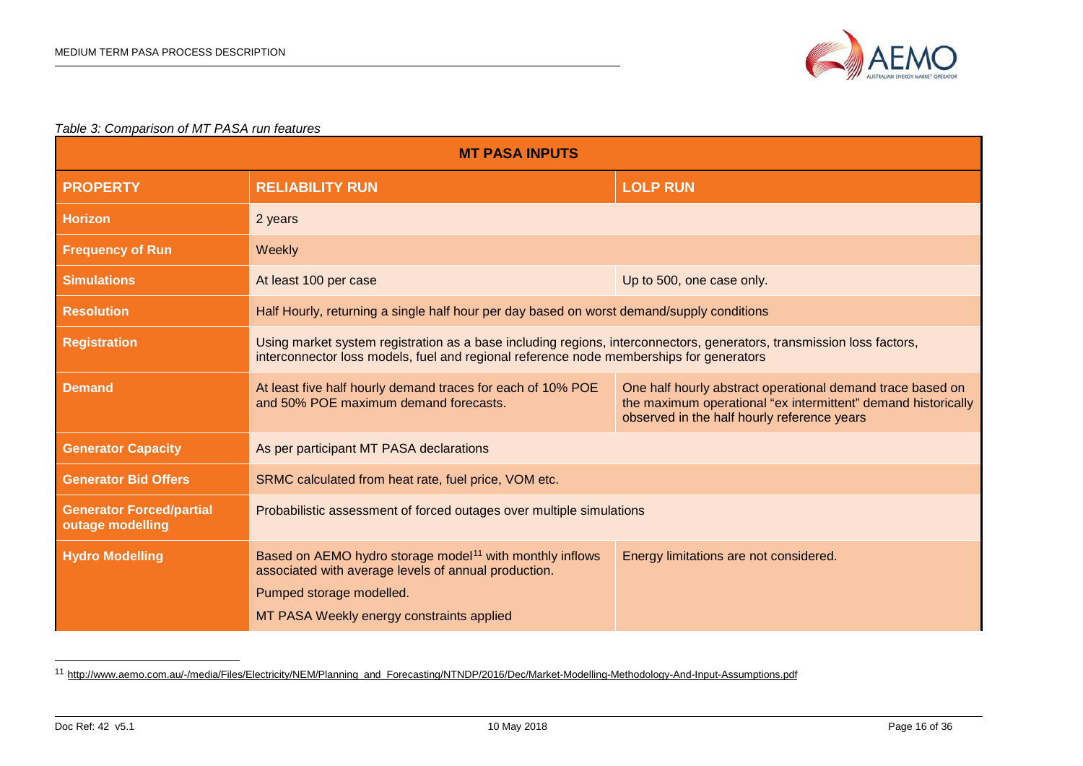<span id="page-15-1"></span>

#### *Table 3: Comparison of MT PASA run features*

| <b>MT PASA INPUTS</b>                               |                                                                                                                                                                                                                  |                                                                                                                                                                            |  |  |
|-----------------------------------------------------|------------------------------------------------------------------------------------------------------------------------------------------------------------------------------------------------------------------|----------------------------------------------------------------------------------------------------------------------------------------------------------------------------|--|--|
| <b>PROPERTY</b>                                     | <b>RELIABILITY RUN</b>                                                                                                                                                                                           | <b>LOLP RUN</b>                                                                                                                                                            |  |  |
| <b>Horizon</b>                                      | 2 years                                                                                                                                                                                                          |                                                                                                                                                                            |  |  |
| <b>Frequency of Run</b>                             | Weekly                                                                                                                                                                                                           |                                                                                                                                                                            |  |  |
| <b>Simulations</b>                                  | At least 100 per case                                                                                                                                                                                            | Up to 500, one case only.                                                                                                                                                  |  |  |
| <b>Resolution</b>                                   | Half Hourly, returning a single half hour per day based on worst demand/supply conditions                                                                                                                        |                                                                                                                                                                            |  |  |
| <b>Registration</b>                                 | Using market system registration as a base including regions, interconnectors, generators, transmission loss factors,<br>interconnector loss models, fuel and regional reference node memberships for generators |                                                                                                                                                                            |  |  |
| <b>Demand</b>                                       | At least five half hourly demand traces for each of 10% POE<br>and 50% POE maximum demand forecasts.                                                                                                             | One half hourly abstract operational demand trace based on<br>the maximum operational "ex intermittent" demand historically<br>observed in the half hourly reference years |  |  |
| <b>Generator Capacity</b>                           | As per participant MT PASA declarations                                                                                                                                                                          |                                                                                                                                                                            |  |  |
| <b>Generator Bid Offers</b>                         | SRMC calculated from heat rate, fuel price, VOM etc.                                                                                                                                                             |                                                                                                                                                                            |  |  |
| <b>Generator Forced/partial</b><br>outage modelling | Probabilistic assessment of forced outages over multiple simulations                                                                                                                                             |                                                                                                                                                                            |  |  |
| <b>Hydro Modelling</b>                              | Based on AEMO hydro storage model <sup>11</sup> with monthly inflows<br>associated with average levels of annual production.<br>Pumped storage modelled.<br>MT PASA Weekly energy constraints applied            | Energy limitations are not considered.                                                                                                                                     |  |  |

<span id="page-15-0"></span> <sup>11</sup> [http://www.aemo.com.au/-/media/Files/Electricity/NEM/Planning\\_and\\_Forecasting/NTNDP/2016/Dec/Market-Modelling-Methodology-And-Input-Assumptions.pdf](http://www.aemo.com.au/-/media/Files/Electricity/NEM/Planning_and_Forecasting/NTNDP/2016/Dec/Market-Modelling-Methodology-And-Input-Assumptions.pdf)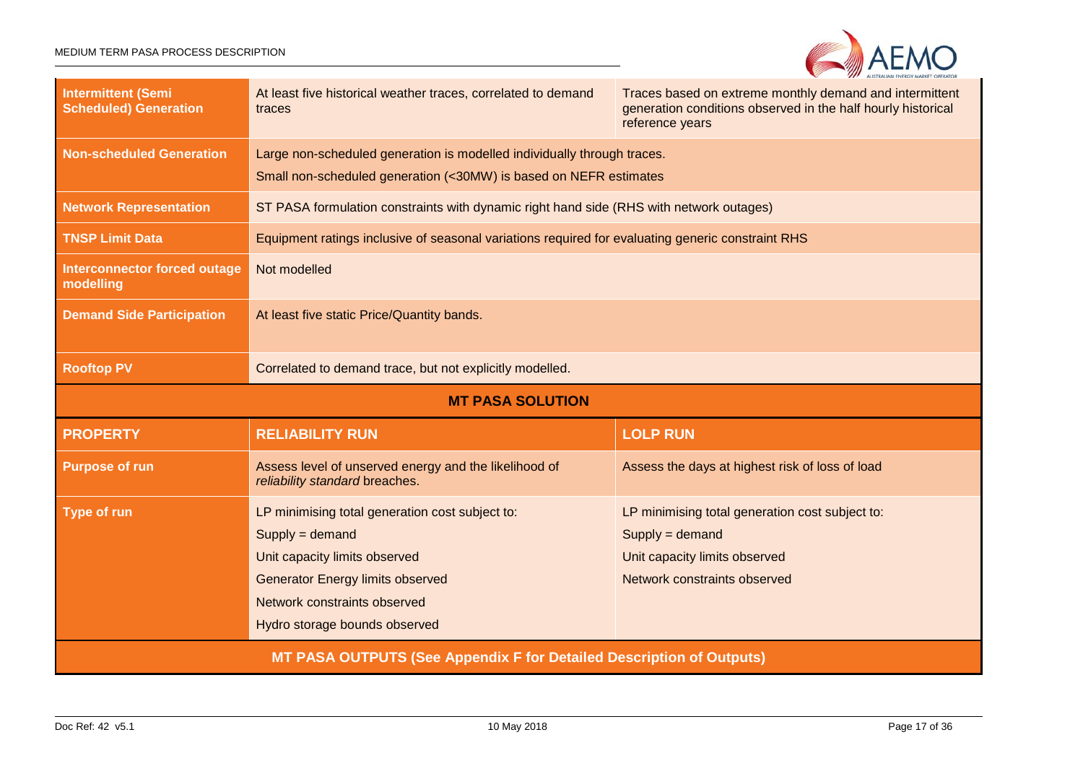

| <b>Intermittent (Semi</b><br><b>Scheduled) Generation</b>                   | At least five historical weather traces, correlated to demand<br>traces                                                                                                                                           | Traces based on extreme monthly demand and intermittent<br>generation conditions observed in the half hourly historical<br>reference years |  |
|-----------------------------------------------------------------------------|-------------------------------------------------------------------------------------------------------------------------------------------------------------------------------------------------------------------|--------------------------------------------------------------------------------------------------------------------------------------------|--|
| <b>Non-scheduled Generation</b>                                             | Large non-scheduled generation is modelled individually through traces.<br>Small non-scheduled generation (<30MW) is based on NEFR estimates                                                                      |                                                                                                                                            |  |
| <b>Network Representation</b>                                               | ST PASA formulation constraints with dynamic right hand side (RHS with network outages)                                                                                                                           |                                                                                                                                            |  |
| <b>TNSP Limit Data</b>                                                      | Equipment ratings inclusive of seasonal variations required for evaluating generic constraint RHS                                                                                                                 |                                                                                                                                            |  |
| <b>Interconnector forced outage</b><br>modelling                            | Not modelled                                                                                                                                                                                                      |                                                                                                                                            |  |
| <b>Demand Side Participation</b>                                            | At least five static Price/Quantity bands.                                                                                                                                                                        |                                                                                                                                            |  |
| <b>Rooftop PV</b>                                                           | Correlated to demand trace, but not explicitly modelled.                                                                                                                                                          |                                                                                                                                            |  |
| <b>MT PASA SOLUTION</b>                                                     |                                                                                                                                                                                                                   |                                                                                                                                            |  |
| <b>PROPERTY</b>                                                             | <b>RELIABILITY RUN</b>                                                                                                                                                                                            | <b>LOLP RUN</b>                                                                                                                            |  |
| <b>Purpose of run</b>                                                       | Assess level of unserved energy and the likelihood of<br>reliability standard breaches.                                                                                                                           | Assess the days at highest risk of loss of load                                                                                            |  |
| <b>Type of run</b>                                                          | LP minimising total generation cost subject to:<br>$Supply = demand$<br>Unit capacity limits observed<br><b>Generator Energy limits observed</b><br>Network constraints observed<br>Hydro storage bounds observed | LP minimising total generation cost subject to:<br>$Supply = demand$<br>Unit capacity limits observed<br>Network constraints observed      |  |
| <b>MT PASA OUTPUTS (See Appendix F for Detailed Description of Outputs)</b> |                                                                                                                                                                                                                   |                                                                                                                                            |  |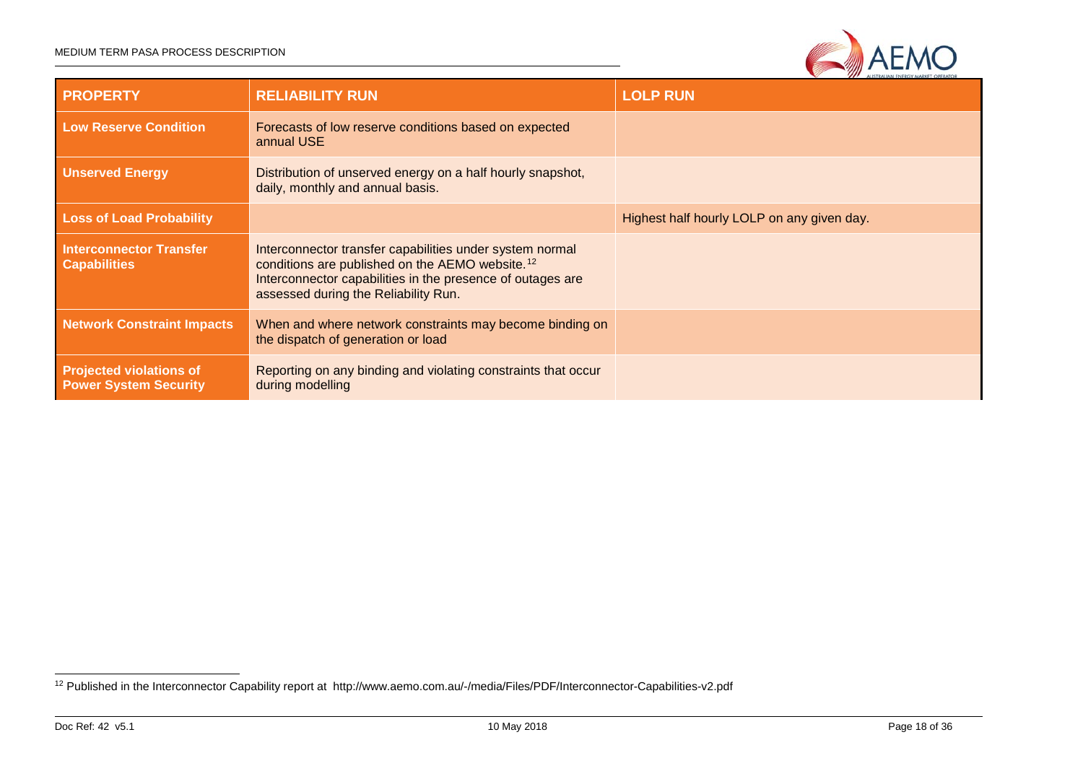#### MEDIUM TERM PASA PROCESS DESCRIPTION

<span id="page-17-0"></span>

| <b>PROPERTY</b>                                                | <b>RELIABILITY RUN</b>                                                                                                                                                                                                        | <b>LOLP RUN</b>                            |
|----------------------------------------------------------------|-------------------------------------------------------------------------------------------------------------------------------------------------------------------------------------------------------------------------------|--------------------------------------------|
| <b>Low Reserve Condition</b>                                   | Forecasts of low reserve conditions based on expected<br>annual USE                                                                                                                                                           |                                            |
| <b>Unserved Energy</b>                                         | Distribution of unserved energy on a half hourly snapshot,<br>daily, monthly and annual basis.                                                                                                                                |                                            |
| <b>Loss of Load Probability</b>                                |                                                                                                                                                                                                                               | Highest half hourly LOLP on any given day. |
| <b>Interconnector Transfer</b><br><b>Capabilities</b>          | Interconnector transfer capabilities under system normal<br>conditions are published on the AEMO website. <sup>12</sup><br>Interconnector capabilities in the presence of outages are<br>assessed during the Reliability Run. |                                            |
| <b>Network Constraint Impacts</b>                              | When and where network constraints may become binding on<br>the dispatch of generation or load                                                                                                                                |                                            |
| <b>Projected violations of</b><br><b>Power System Security</b> | Reporting on any binding and violating constraints that occur<br>during modelling                                                                                                                                             |                                            |

 <sup>12</sup> Published in the Interconnector Capability report at http://www.aemo.com.au/-/media/Files/PDF/Interconnector-Capabilities-v2.pdf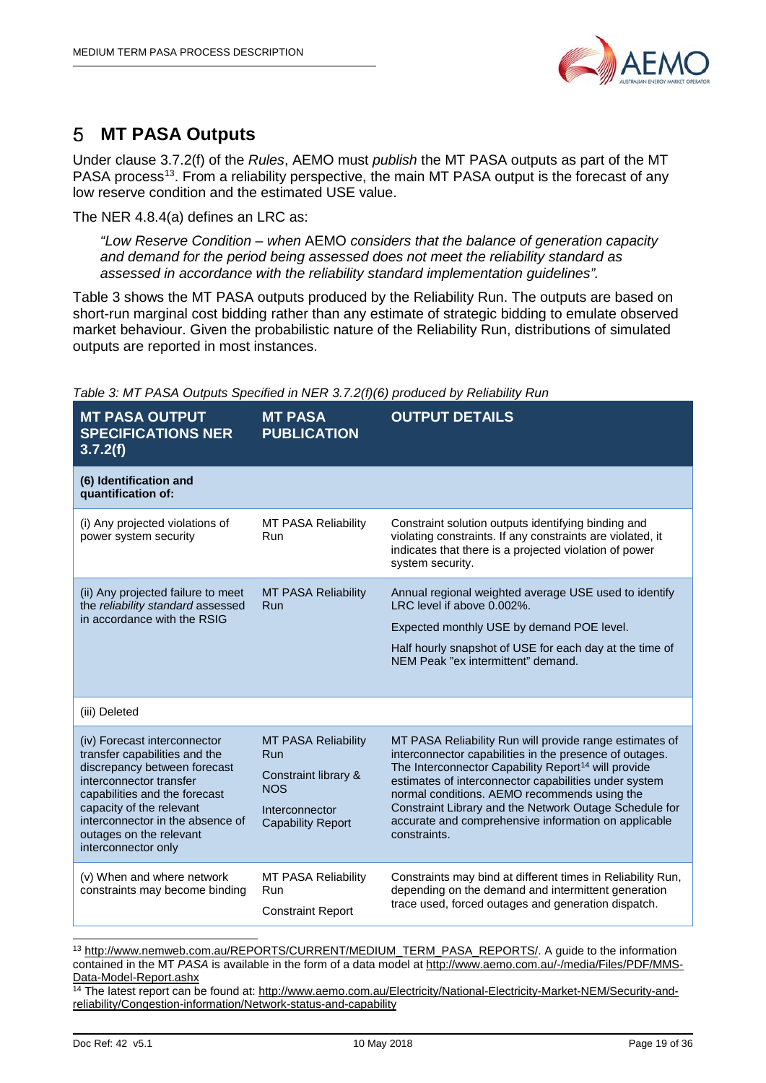

#### <span id="page-18-0"></span>**MT PASA Outputs** 5

Under clause 3.7.2(f) of the *Rules*, AEMO must *publish* the MT PASA outputs as part of the MT PASA process<sup>13</sup>. From a reliability perspective, the main MT PASA output is the forecast of any low reserve condition and the estimated USE value.

The NER 4.8.4(a) defines an LRC as:

*"Low Reserve Condition* – *when* AEMO *considers that the balance of generation capacity and demand for the period being assessed does not meet the reliability standard as assessed in accordance with the reliability standard implementation guidelines".*

Table 3 shows the MT PASA outputs produced by the Reliability Run. The outputs are based on short-run marginal cost bidding rather than any estimate of strategic bidding to emulate observed market behaviour. Given the probabilistic nature of the Reliability Run, distributions of simulated outputs are reported in most instances.

| <b>MT PASA OUTPUT</b><br><b>SPECIFICATIONS NER</b><br>3.7.2(f)                                                                                                                                                                                                              | <b>MT PASA</b><br><b>PUBLICATION</b>                                                                                  | <b>OUTPUT DETAILS</b>                                                                                                                                                                                                                                                                                                                                                                                                            |
|-----------------------------------------------------------------------------------------------------------------------------------------------------------------------------------------------------------------------------------------------------------------------------|-----------------------------------------------------------------------------------------------------------------------|----------------------------------------------------------------------------------------------------------------------------------------------------------------------------------------------------------------------------------------------------------------------------------------------------------------------------------------------------------------------------------------------------------------------------------|
| (6) Identification and<br>quantification of:                                                                                                                                                                                                                                |                                                                                                                       |                                                                                                                                                                                                                                                                                                                                                                                                                                  |
| (i) Any projected violations of<br>power system security                                                                                                                                                                                                                    | <b>MT PASA Reliability</b><br>Run                                                                                     | Constraint solution outputs identifying binding and<br>violating constraints. If any constraints are violated, it<br>indicates that there is a projected violation of power<br>system security.                                                                                                                                                                                                                                  |
| (ii) Any projected failure to meet<br>the reliability standard assessed<br>in accordance with the RSIG                                                                                                                                                                      | <b>MT PASA Reliability</b><br>Run                                                                                     | Annual regional weighted average USE used to identify<br>LRC level if above 0.002%.<br>Expected monthly USE by demand POE level.<br>Half hourly snapshot of USE for each day at the time of<br>NEM Peak "ex intermittent" demand.                                                                                                                                                                                                |
| (iii) Deleted                                                                                                                                                                                                                                                               |                                                                                                                       |                                                                                                                                                                                                                                                                                                                                                                                                                                  |
| (iv) Forecast interconnector<br>transfer capabilities and the<br>discrepancy between forecast<br>interconnector transfer<br>capabilities and the forecast<br>capacity of the relevant<br>interconnector in the absence of<br>outages on the relevant<br>interconnector only | <b>MT PASA Reliability</b><br>Run<br>Constraint library &<br><b>NOS</b><br>Interconnector<br><b>Capability Report</b> | MT PASA Reliability Run will provide range estimates of<br>interconnector capabilities in the presence of outages.<br>The Interconnector Capability Report <sup>14</sup> will provide<br>estimates of interconnector capabilities under system<br>normal conditions. AEMO recommends using the<br>Constraint Library and the Network Outage Schedule for<br>accurate and comprehensive information on applicable<br>constraints. |
| (v) When and where network<br>constraints may become binding                                                                                                                                                                                                                | MT PASA Reliability<br>Run<br><b>Constraint Report</b>                                                                | Constraints may bind at different times in Reliability Run,<br>depending on the demand and intermittent generation<br>trace used, forced outages and generation dispatch.                                                                                                                                                                                                                                                        |

*Table 3: MT PASA Outputs Specified in NER 3.7.2(f)(6) produced by Reliability Run*

<span id="page-18-1"></span> 13 [http://www.nemweb.com.au/REPORTS/CURRENT/MEDIUM\\_TERM\\_PASA\\_REPORTS/.](http://www.nemweb.com.au/REPORTS/CURRENT/MEDIUM_TERM_PASA_REPORTS/) A guide to the information contained in the MT *PASA* is available in the form of a data model at [http://www.aemo.com.au/-/media/Files/PDF/MMS-](http://www.aemo.com.au/-/media/Files/PDF/MMS-Data-Model-Report.ashx)[Data-Model-Report.ashx](http://www.aemo.com.au/-/media/Files/PDF/MMS-Data-Model-Report.ashx)

<span id="page-18-2"></span>14 The latest report can be found at: http://www.aemo.com.au/Electricity/National-Electricity-Market-NEM/Security-andreliability/Congestion-information/Network-status-and-capability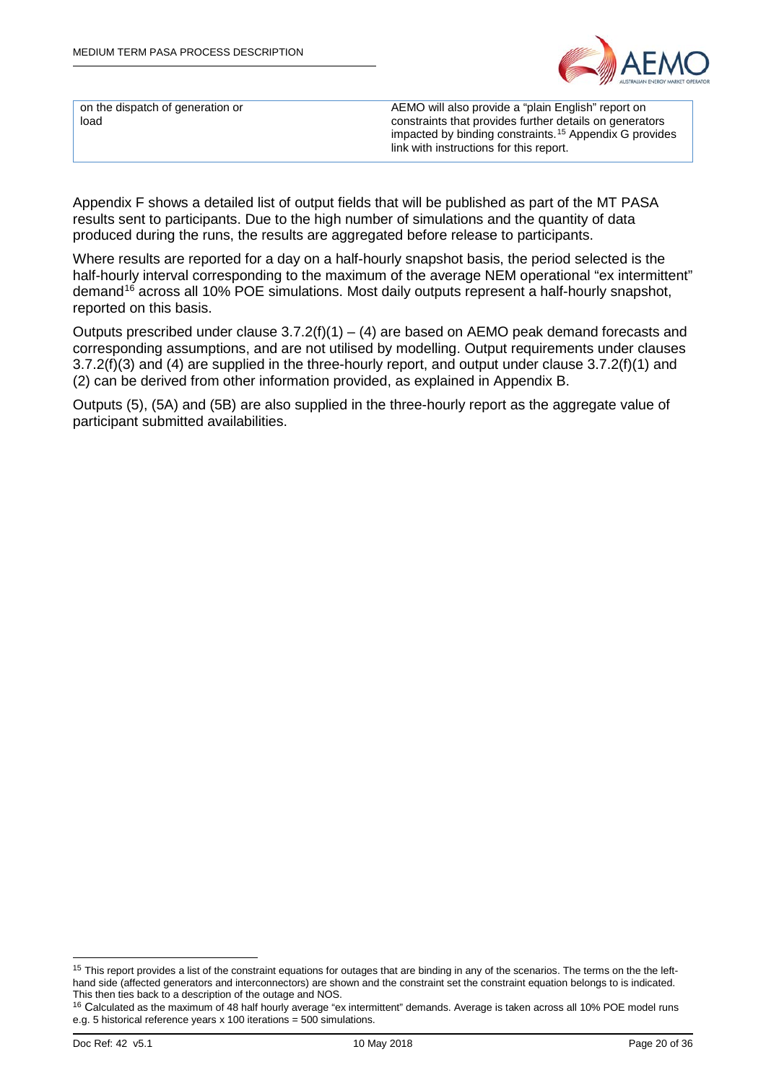

on the dispatch of generation or load

AEMO will also provide a "plain English" report on constraints that provides further details on generators impacted by binding constraints.[15](#page-19-0) Appendix G provides link with instructions for this report.

Appendix F shows a detailed list of output fields that will be published as part of the MT PASA results sent to participants. Due to the high number of simulations and the quantity of data produced during the runs, the results are aggregated before release to participants.

Where results are reported for a day on a half-hourly snapshot basis, the period selected is the half-hourly interval corresponding to the maximum of the average NEM operational "ex intermittent" demand<sup>[16](#page-19-1)</sup> across all 10% POE simulations. Most daily outputs represent a half-hourly snapshot, reported on this basis.

Outputs prescribed under clause  $3.7.2(f)(1) - (4)$  are based on AEMO peak demand forecasts and corresponding assumptions, and are not utilised by modelling. Output requirements under clauses 3.7.2(f)(3) and (4) are supplied in the three-hourly report, and output under clause 3.7.2(f)(1) and (2) can be derived from other information provided, as explained in Appendix B.

Outputs (5), (5A) and (5B) are also supplied in the three-hourly report as the aggregate value of participant submitted availabilities.

<span id="page-19-0"></span><sup>&</sup>lt;sup>15</sup> This report provides a list of the constraint equations for outages that are binding in any of the scenarios. The terms on the the lefthand side (affected generators and interconnectors) are shown and the constraint set the constraint equation belongs to is indicated. This then ties back to a description of the outage and NOS.

<span id="page-19-1"></span><sup>&</sup>lt;sup>16</sup> Calculated as the maximum of 48 half hourly average "ex intermittent" demands. Average is taken across all 10% POE model runs e.g. 5 historical reference years x 100 iterations = 500 simulations.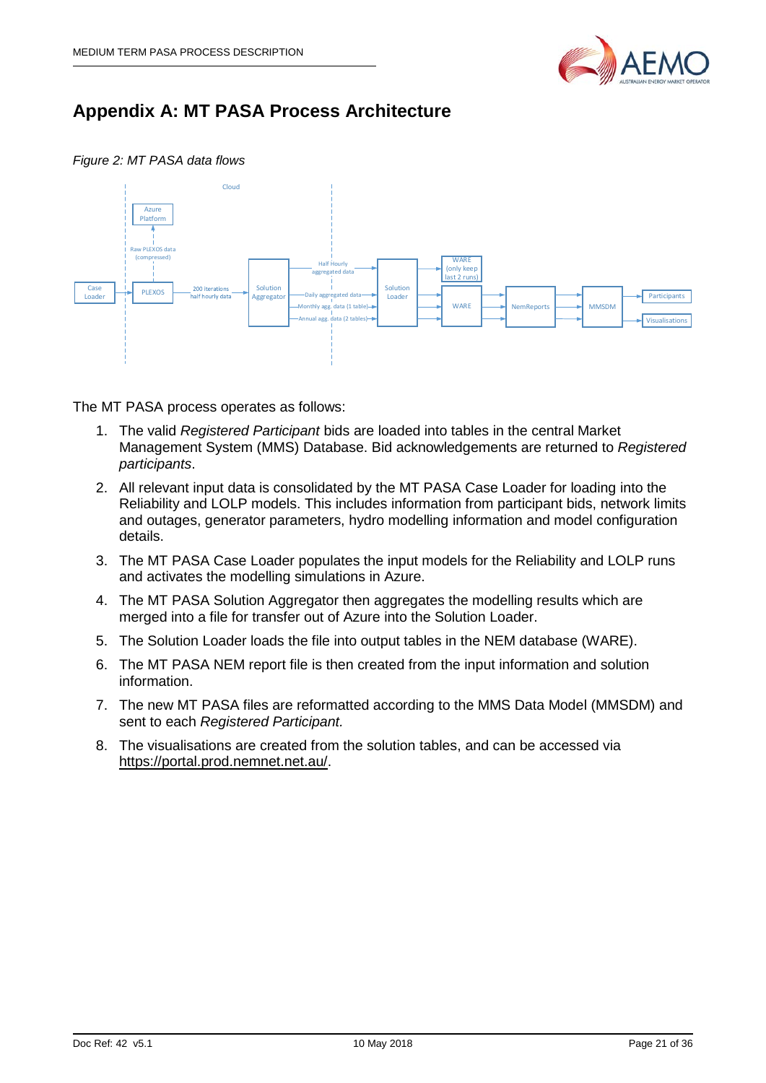

# <span id="page-20-0"></span>**Appendix A: MT PASA Process Architecture**

*Figure 2: MT PASA data flows*



The MT PASA process operates as follows:

- 1. The valid *Registered Participant* bids are loaded into tables in the central Market Management System (MMS) Database. Bid acknowledgements are returned to *Registered participants*.
- 2. All relevant input data is consolidated by the MT PASA Case Loader for loading into the Reliability and LOLP models. This includes information from participant bids, network limits and outages, generator parameters, hydro modelling information and model configuration details.
- 3. The MT PASA Case Loader populates the input models for the Reliability and LOLP runs and activates the modelling simulations in Azure.
- 4. The MT PASA Solution Aggregator then aggregates the modelling results which are merged into a file for transfer out of Azure into the Solution Loader.
- 5. The Solution Loader loads the file into output tables in the NEM database (WARE).
- 6. The MT PASA NEM report file is then created from the input information and solution information.
- 7. The new MT PASA files are reformatted according to the MMS Data Model (MMSDM) and sent to each *Registered Participant.*
- 8. The visualisations are created from the solution tables, and can be accessed via [https://portal.prod.nemnet.net.au/.](https://portal.prod.nemnet.net.au/)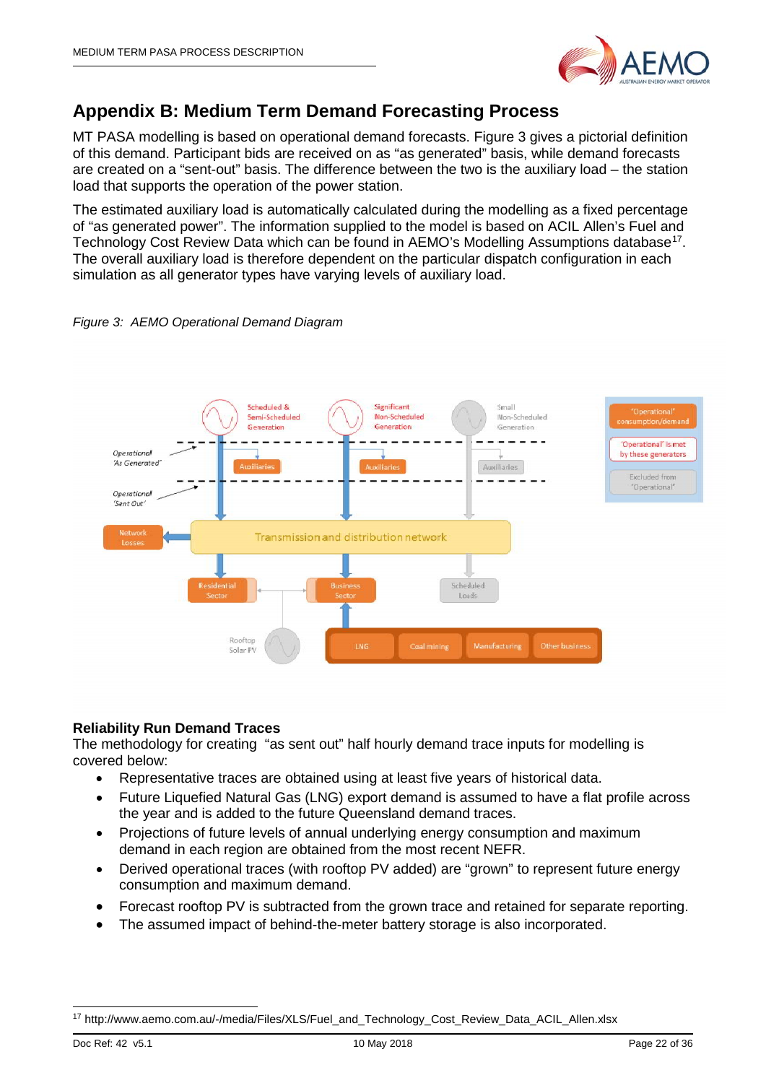

# <span id="page-21-0"></span>**Appendix B: Medium Term Demand Forecasting Process**

MT PASA modelling is based on operational demand forecasts. [Figure 3](#page-21-1) gives a pictorial definition of this demand. Participant bids are received on as "as generated" basis, while demand forecasts are created on a "sent-out" basis. The difference between the two is the auxiliary load – the station load that supports the operation of the power station.

The estimated auxiliary load is automatically calculated during the modelling as a fixed percentage of "as generated power". The information supplied to the model is based on ACIL Allen's Fuel and Technology Cost Review Data which can be found in AEMO's Modelling Assumptions database<sup>[17](#page-21-2)</sup>. The overall auxiliary load is therefore dependent on the particular dispatch configuration in each simulation as all generator types have varying levels of auxiliary load.

<span id="page-21-1"></span>



## **Reliability Run Demand Traces**

The methodology for creating "as sent out" half hourly demand trace inputs for modelling is covered below:

- Representative traces are obtained using at least five years of historical data.
- Future Liquefied Natural Gas (LNG) export demand is assumed to have a flat profile across the year and is added to the future Queensland demand traces.
- Projections of future levels of annual underlying energy consumption and maximum demand in each region are obtained from the most recent NEFR.
- Derived operational traces (with rooftop PV added) are "grown" to represent future energy consumption and maximum demand.
- Forecast rooftop PV is subtracted from the grown trace and retained for separate reporting.
- The assumed impact of behind-the-meter battery storage is also incorporated.

<span id="page-21-2"></span> <sup>17</sup> http://www.aemo.com.au/-/media/Files/XLS/Fuel\_and\_Technology\_Cost\_Review\_Data\_ACIL\_Allen.xlsx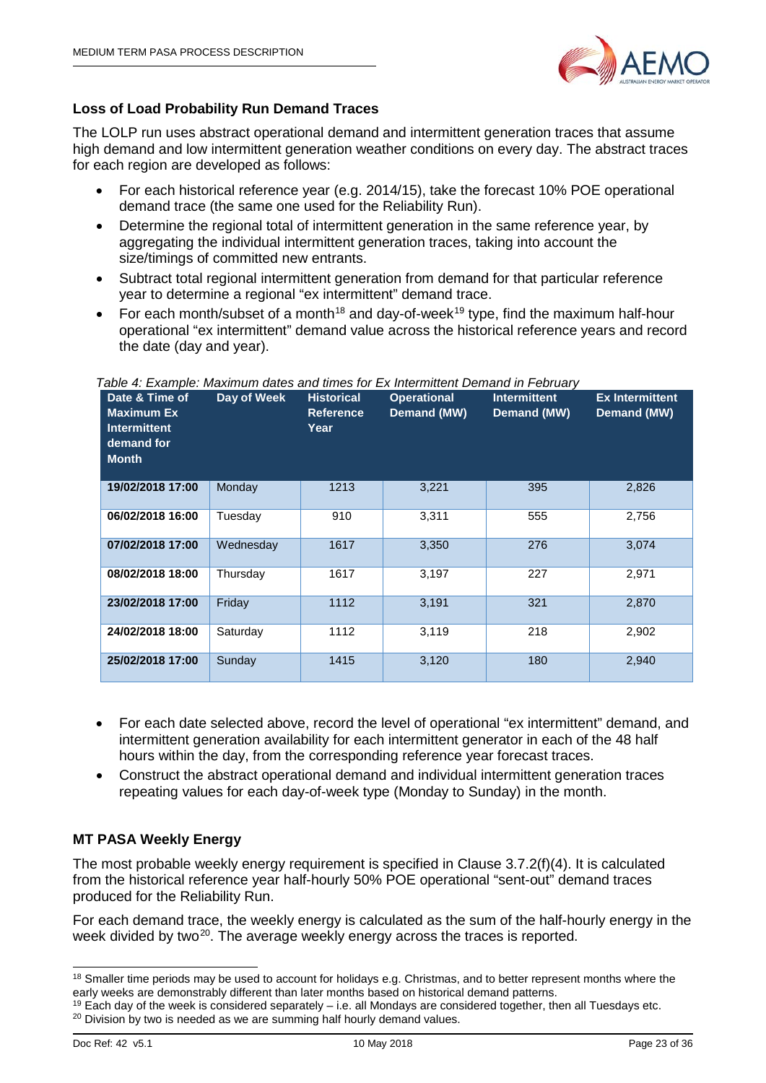

# **Loss of Load Probability Run Demand Traces**

The LOLP run uses abstract operational demand and intermittent generation traces that assume high demand and low intermittent generation weather conditions on every day. The abstract traces for each region are developed as follows:

- For each historical reference year (e.g. 2014/15), take the forecast 10% POE operational demand trace (the same one used for the Reliability Run).
- Determine the regional total of intermittent generation in the same reference year, by aggregating the individual intermittent generation traces, taking into account the size/timings of committed new entrants.
- Subtract total regional intermittent generation from demand for that particular reference year to determine a regional "ex intermittent" demand trace.
- For each month/subset of a month<sup>[18](#page-22-0)</sup> and day-of-week<sup>[19](#page-22-1)</sup> type, find the maximum half-hour operational "ex intermittent" demand value across the historical reference years and record the date (day and year).

| Date & Time of<br><b>Maximum Ex</b><br><b>Intermittent</b><br>demand for<br><b>Month</b> | Day of Week | <b>Historical</b><br><b>Reference</b><br>Year | <b>Operational</b><br>Demand (MW) | <b>Intermittent</b><br>Demand (MW) | <b>Ex Intermittent</b><br>Demand (MW) |
|------------------------------------------------------------------------------------------|-------------|-----------------------------------------------|-----------------------------------|------------------------------------|---------------------------------------|
| 19/02/2018 17:00                                                                         | Monday      | 1213                                          | 3,221                             | 395                                | 2,826                                 |
| 06/02/2018 16:00                                                                         | Tuesday     | 910                                           | 3,311                             | 555                                | 2,756                                 |
| 07/02/2018 17:00                                                                         | Wednesday   | 1617                                          | 3,350                             | 276                                | 3,074                                 |
| 08/02/2018 18:00                                                                         | Thursday    | 1617                                          | 3,197                             | 227                                | 2,971                                 |
| 23/02/2018 17:00                                                                         | Friday      | 1112                                          | 3,191                             | 321                                | 2,870                                 |
| 24/02/2018 18:00                                                                         | Saturday    | 1112                                          | 3,119                             | 218                                | 2,902                                 |
| 25/02/2018 17:00                                                                         | Sunday      | 1415                                          | 3,120                             | 180                                | 2,940                                 |

#### *Table 4: Example: Maximum dates and times for Ex Intermittent Demand in February*

- For each date selected above, record the level of operational "ex intermittent" demand, and intermittent generation availability for each intermittent generator in each of the 48 half hours within the day, from the corresponding reference year forecast traces.
- Construct the abstract operational demand and individual intermittent generation traces repeating values for each day-of-week type (Monday to Sunday) in the month.

# **MT PASA Weekly Energy**

The most probable weekly energy requirement is specified in Clause 3.7.2(f)(4). It is calculated from the historical reference year half-hourly 50% POE operational "sent-out" demand traces produced for the Reliability Run.

For each demand trace, the weekly energy is calculated as the sum of the half-hourly energy in the week divided by two<sup>[20](#page-22-2)</sup>. The average weekly energy across the traces is reported.

<span id="page-22-0"></span><sup>&</sup>lt;sup>18</sup> Smaller time periods may be used to account for holidays e.g. Christmas, and to better represent months where the early weeks are demonstrably different than later months based on historical demand patterns.

<span id="page-22-2"></span><span id="page-22-1"></span> $19$  Each day of the week is considered separately – i.e. all Mondays are considered together, then all Tuesdays etc. <sup>20</sup> Division by two is needed as we are summing half hourly demand values.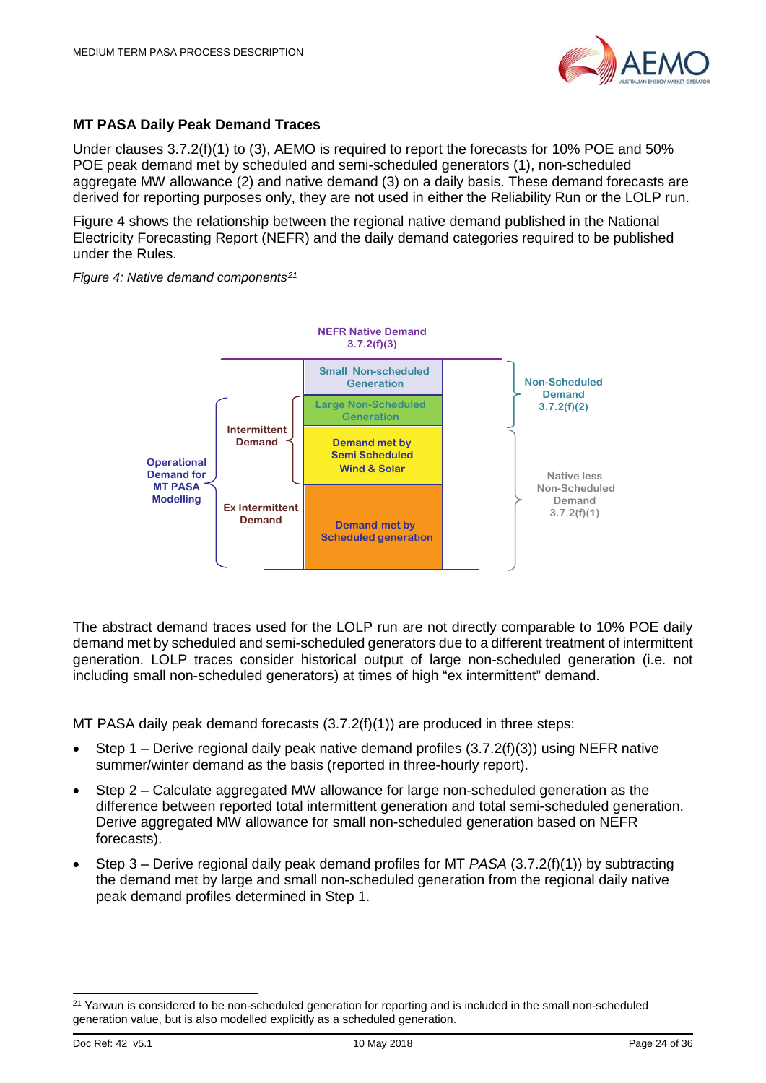

## **MT PASA Daily Peak Demand Traces**

Under clauses 3.7.2(f)(1) to (3), AEMO is required to report the forecasts for 10% POE and 50% POE peak demand met by scheduled and semi-scheduled generators (1), non-scheduled aggregate MW allowance (2) and native demand (3) on a daily basis. These demand forecasts are derived for reporting purposes only, they are not used in either the Reliability Run or the LOLP run.

[Figure 4](#page-23-0) shows the relationship between the regional native demand published in the National Electricity Forecasting Report (NEFR) and the daily demand categories required to be published under the Rules.

<span id="page-23-0"></span>*Figure 4: Native demand components[21](#page-23-1)*



The abstract demand traces used for the LOLP run are not directly comparable to 10% POE daily demand met by scheduled and semi-scheduled generators due to a different treatment of intermittent generation. LOLP traces consider historical output of large non-scheduled generation (i.e. not including small non-scheduled generators) at times of high "ex intermittent" demand.

MT PASA daily peak demand forecasts (3.7.2(f)(1)) are produced in three steps:

- Step 1 Derive regional daily peak native demand profiles  $(3.7.2(f)(3))$  using NEFR native summer/winter demand as the basis (reported in three-hourly report).
- Step 2 Calculate aggregated MW allowance for large non-scheduled generation as the difference between reported total intermittent generation and total semi-scheduled generation. Derive aggregated MW allowance for small non-scheduled generation based on NEFR forecasts).
- Step 3 Derive regional daily peak demand profiles for MT *PASA* (3.7.2(f)(1)) by subtracting the demand met by large and small non-scheduled generation from the regional daily native peak demand profiles determined in Step 1.

<span id="page-23-1"></span><sup>&</sup>lt;sup>21</sup> Yarwun is considered to be non-scheduled generation for reporting and is included in the small non-scheduled generation value, but is also modelled explicitly as a scheduled generation.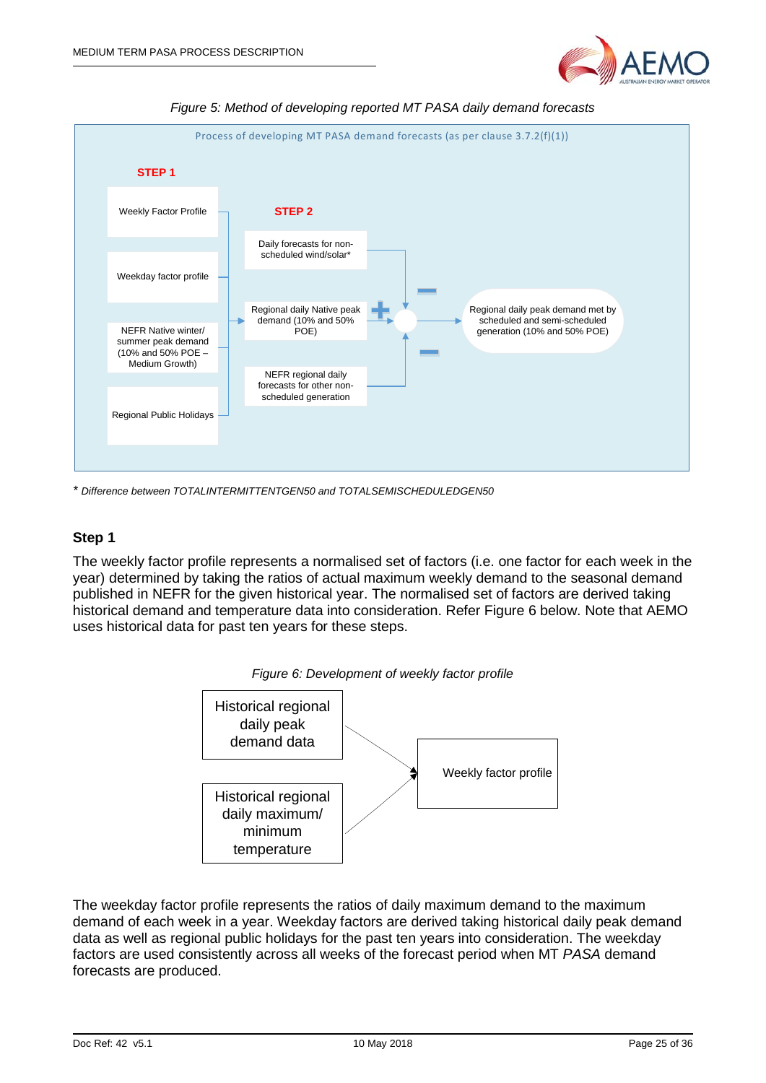



*Figure 5: Method of developing reported MT PASA daily demand forecasts*

*\* Difference between TOTALINTERMITTENTGEN50 and TOTALSEMISCHEDULEDGEN50*

#### **Step 1**

<span id="page-24-0"></span>The weekly factor profile represents a normalised set of factors (i.e. one factor for each week in the year) determined by taking the ratios of actual maximum weekly demand to the seasonal demand published in NEFR for the given historical year. The normalised set of factors are derived taking historical demand and temperature data into consideration. Refer [Figure 6](#page-24-0) below. Note that AEMO uses historical data for past ten years for these steps.



*Figure 6: Development of weekly factor profile*

The weekday factor profile represents the ratios of daily maximum demand to the maximum demand of each week in a year. Weekday factors are derived taking historical daily peak demand data as well as regional public holidays for the past ten years into consideration. The weekday factors are used consistently across all weeks of the forecast period when MT *PASA* demand forecasts are produced.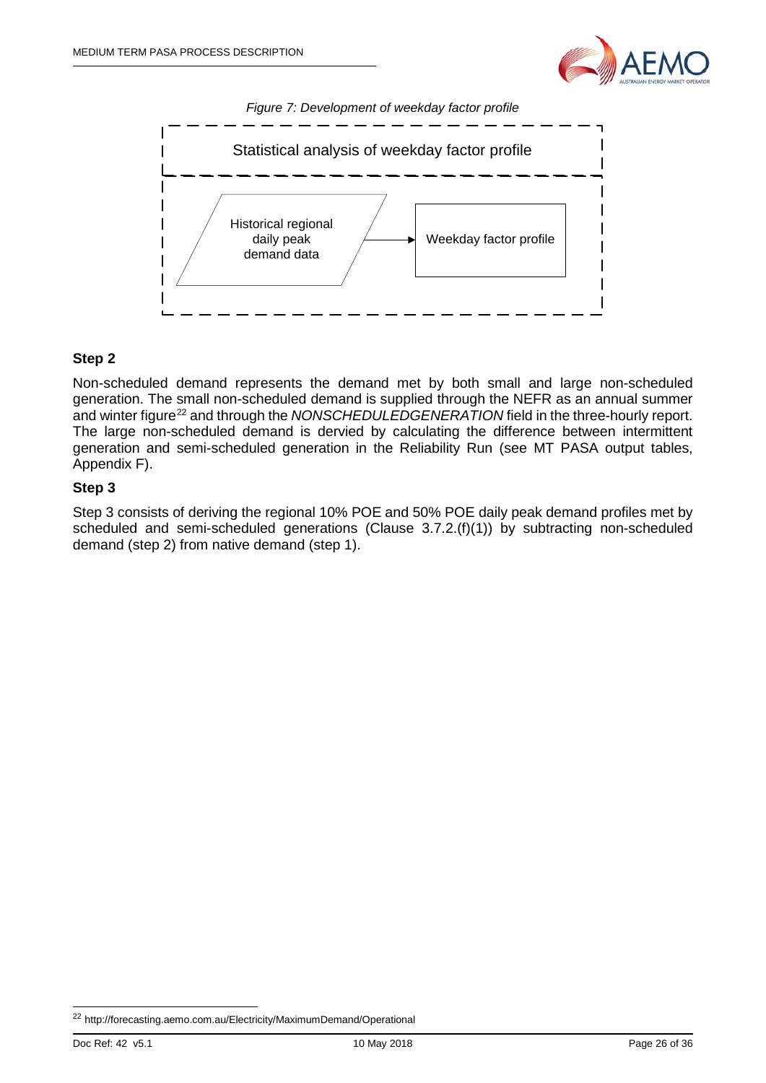





## **Step 2**

Non-scheduled demand represents the demand met by both small and large non-scheduled generation. The small non-scheduled demand is supplied through the NEFR as an annual summer and winter figure<sup>22</sup> and through the *NONSCHEDULEDGENERATION* field in the three-hourly report. The large non-scheduled demand is dervied by calculating the difference between intermittent generation and semi-scheduled generation in the Reliability Run (see MT PASA output tables, Appendix F).

## **Step 3**

Step 3 consists of deriving the regional 10% POE and 50% POE daily peak demand profiles met by scheduled and semi-scheduled generations (Clause 3.7.2.(f)(1)) by subtracting non-scheduled demand (step 2) from native demand (step 1).

<span id="page-25-0"></span> <sup>22</sup> http://forecasting.aemo.com.au/Electricity/MaximumDemand/Operational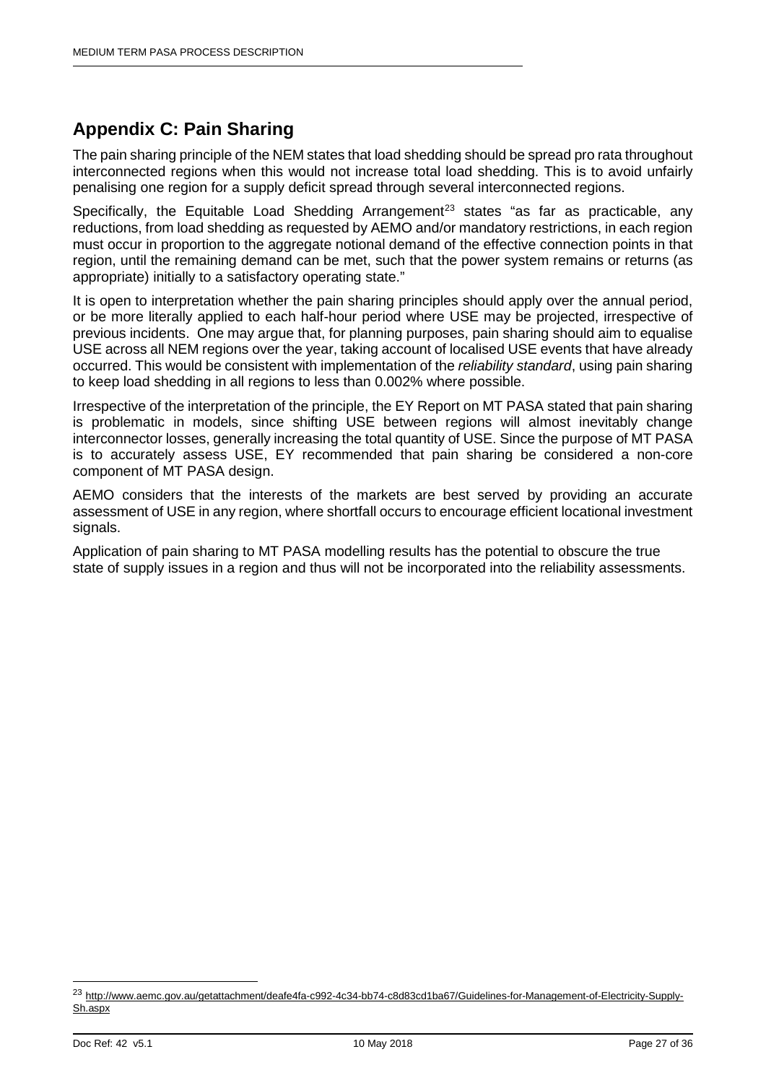# <span id="page-26-0"></span>**Appendix C: Pain Sharing**

The pain sharing principle of the NEM states that load shedding should be spread pro rata throughout interconnected regions when this would not increase total load shedding. This is to avoid unfairly penalising one region for a supply deficit spread through several interconnected regions.

Specifically, the Equitable Load Shedding Arrangement<sup>[23](#page-26-1)</sup> states "as far as practicable, any reductions, from load shedding as requested by AEMO and/or mandatory restrictions, in each region must occur in proportion to the aggregate notional demand of the effective connection points in that region, until the remaining demand can be met, such that the power system remains or returns (as appropriate) initially to a satisfactory operating state."

It is open to interpretation whether the pain sharing principles should apply over the annual period, or be more literally applied to each half-hour period where USE may be projected, irrespective of previous incidents. One may argue that, for planning purposes, pain sharing should aim to equalise USE across all NEM regions over the year, taking account of localised USE events that have already occurred. This would be consistent with implementation of the *reliability standard*, using pain sharing to keep load shedding in all regions to less than 0.002% where possible.

Irrespective of the interpretation of the principle, the EY Report on MT PASA stated that pain sharing is problematic in models, since shifting USE between regions will almost inevitably change interconnector losses, generally increasing the total quantity of USE. Since the purpose of MT PASA is to accurately assess USE, EY recommended that pain sharing be considered a non-core component of MT PASA design.

AEMO considers that the interests of the markets are best served by providing an accurate assessment of USE in any region, where shortfall occurs to encourage efficient locational investment signals.

Application of pain sharing to MT PASA modelling results has the potential to obscure the true state of supply issues in a region and thus will not be incorporated into the reliability assessments.

<span id="page-26-1"></span> <sup>23</sup> [http://www.aemc.gov.au/getattachment/deafe4fa-c992-4c34-bb74-c8d83cd1ba67/Guidelines-for-Management-of-Electricity-Supply-](http://www.aemc.gov.au/getattachment/deafe4fa-c992-4c34-bb74-c8d83cd1ba67/Guidelines-for-Management-of-Electricity-Supply-Sh.aspx)[Sh.aspx](http://www.aemc.gov.au/getattachment/deafe4fa-c992-4c34-bb74-c8d83cd1ba67/Guidelines-for-Management-of-Electricity-Supply-Sh.aspx)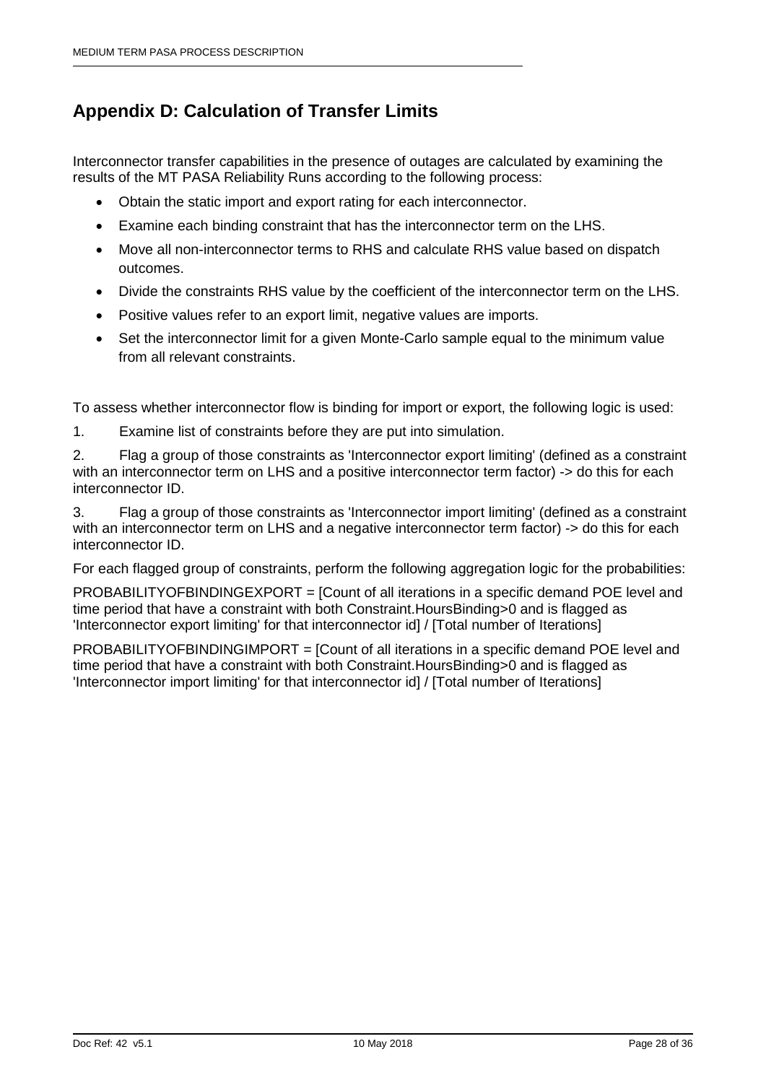# <span id="page-27-0"></span>**Appendix D: Calculation of Transfer Limits**

Interconnector transfer capabilities in the presence of outages are calculated by examining the results of the MT PASA Reliability Runs according to the following process:

- Obtain the static import and export rating for each interconnector.
- Examine each binding constraint that has the interconnector term on the LHS.
- Move all non-interconnector terms to RHS and calculate RHS value based on dispatch outcomes.
- Divide the constraints RHS value by the coefficient of the interconnector term on the LHS.
- Positive values refer to an export limit, negative values are imports.
- Set the interconnector limit for a given Monte-Carlo sample equal to the minimum value from all relevant constraints.

To assess whether interconnector flow is binding for import or export, the following logic is used:

1. Examine list of constraints before they are put into simulation.

2. Flag a group of those constraints as 'Interconnector export limiting' (defined as a constraint with an interconnector term on LHS and a positive interconnector term factor) -> do this for each interconnector ID.

3. Flag a group of those constraints as 'Interconnector import limiting' (defined as a constraint with an interconnector term on LHS and a negative interconnector term factor) -> do this for each interconnector ID.

For each flagged group of constraints, perform the following aggregation logic for the probabilities:

PROBABILITYOFBINDINGEXPORT = [Count of all iterations in a specific demand POE level and time period that have a constraint with both Constraint.HoursBinding>0 and is flagged as 'Interconnector export limiting' for that interconnector id] / [Total number of Iterations]

PROBABILITYOFBINDINGIMPORT = [Count of all iterations in a specific demand POE level and time period that have a constraint with both Constraint.HoursBinding>0 and is flagged as 'Interconnector import limiting' for that interconnector id] / [Total number of Iterations]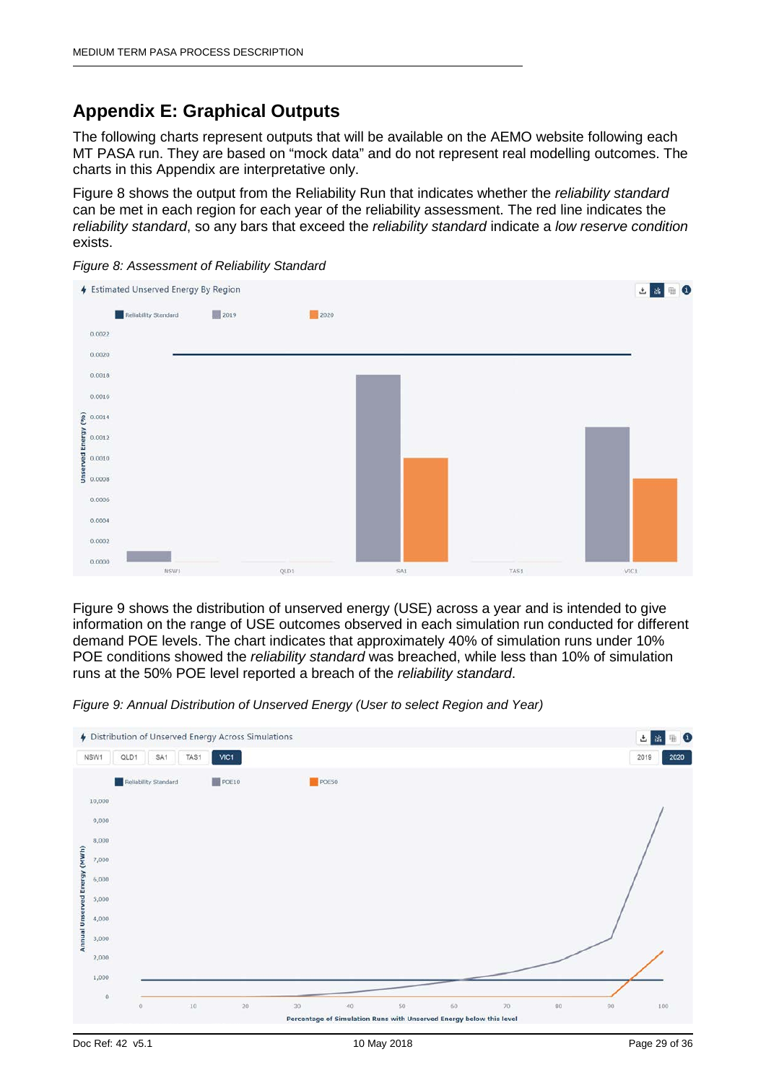# <span id="page-28-0"></span>**Appendix E: Graphical Outputs**

The following charts represent outputs that will be available on the AEMO website following each MT PASA run. They are based on "mock data" and do not represent real modelling outcomes. The charts in this Appendix are interpretative only.

[Figure 8](#page-28-1) shows the output from the Reliability Run that indicates whether the *reliability standard* can be met in each region for each year of the reliability assessment. The red line indicates the *reliability standard*, so any bars that exceed the *reliability standard* indicate a *low reserve condition* exists.



<span id="page-28-1"></span>*Figure 8: Assessment of Reliability Standard*

[Figure 9](#page-28-2) shows the distribution of unserved energy (USE) across a year and is intended to give information on the range of USE outcomes observed in each simulation run conducted for different demand POE levels. The chart indicates that approximately 40% of simulation runs under 10% POE conditions showed the *reliability standard* was breached, while less than 10% of simulation runs at the 50% POE level reported a breach of the *reliability standard*.

<span id="page-28-2"></span>*Figure 9: Annual Distribution of Unserved Energy (User to select Region and Year)*

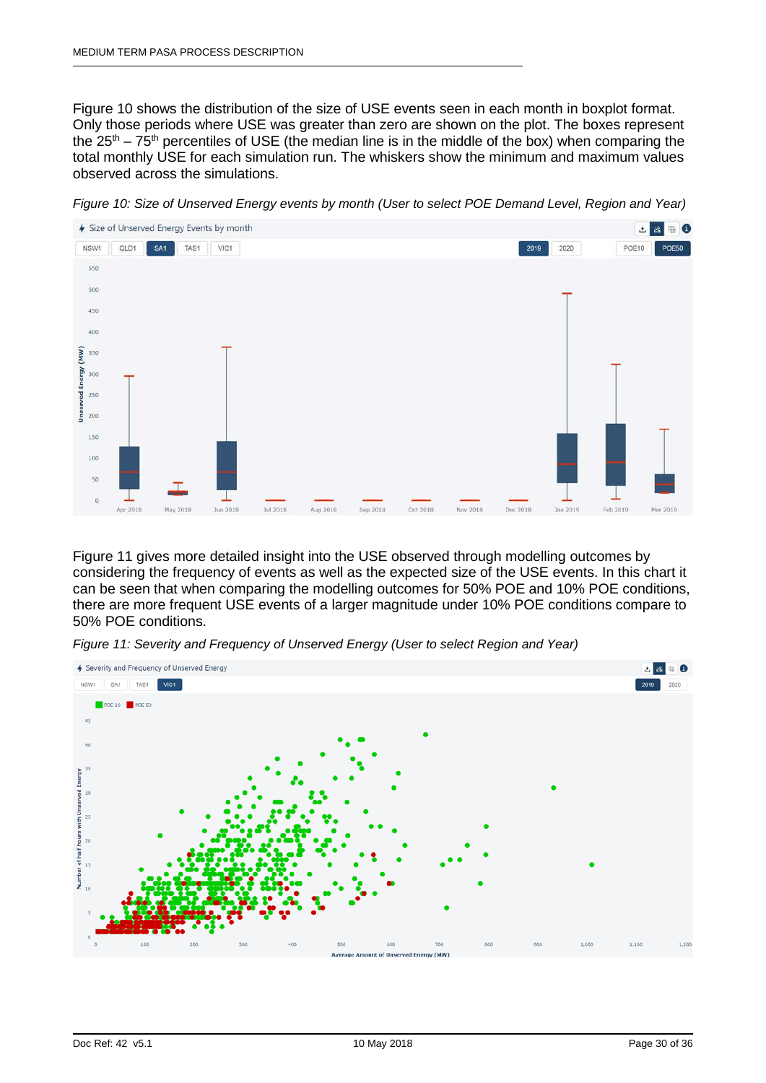[Figure 10](#page-29-0) shows the distribution of the size of USE events seen in each month in boxplot format. Only those periods where USE was greater than zero are shown on the plot. The boxes represent the  $25<sup>th</sup> - 75<sup>th</sup>$  percentiles of USE (the median line is in the middle of the box) when comparing the total monthly USE for each simulation run. The whiskers show the minimum and maximum values observed across the simulations.



<span id="page-29-0"></span>*Figure 10: Size of Unserved Energy events by month (User to select POE Demand Level, Region and Year)*

[Figure 11](#page-29-1) gives more detailed insight into the USE observed through modelling outcomes by considering the frequency of events as well as the expected size of the USE events. In this chart it can be seen that when comparing the modelling outcomes for 50% POE and 10% POE conditions, there are more frequent USE events of a larger magnitude under 10% POE conditions compare to 50% POE conditions.

<span id="page-29-1"></span>

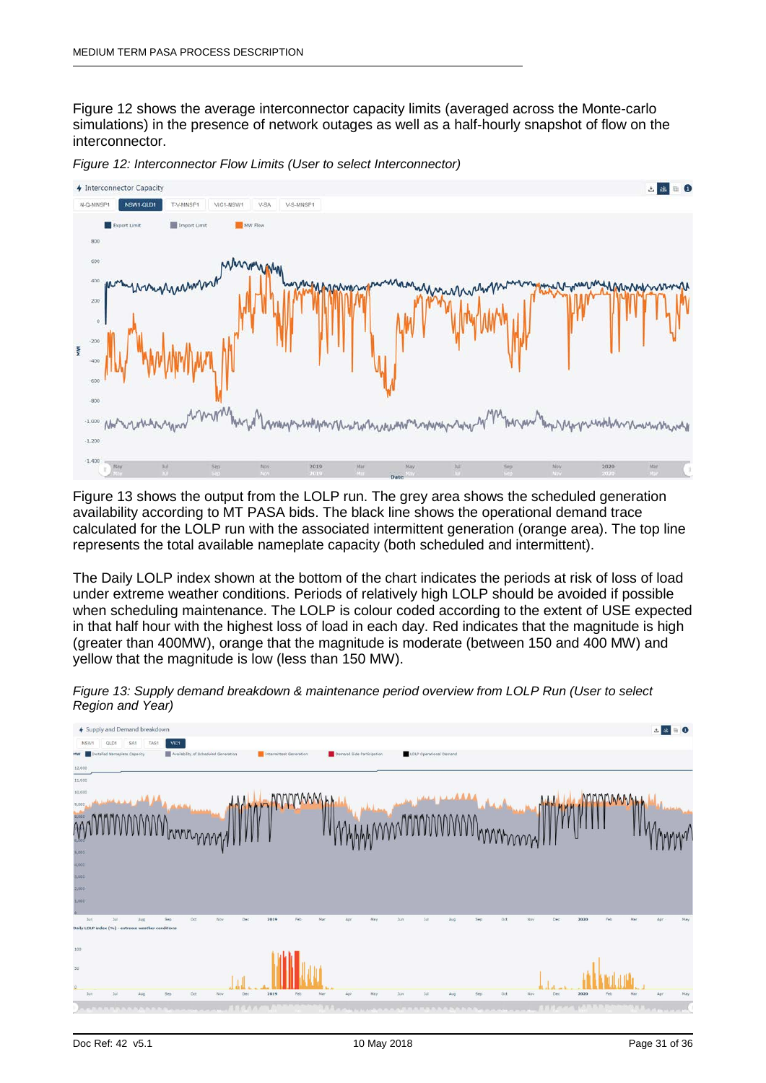[Figure 12](#page-30-0) shows the average interconnector capacity limits (averaged across the Monte-carlo simulations) in the presence of network outages as well as a half-hourly snapshot of flow on the interconnector.



<span id="page-30-0"></span>*Figure 12: Interconnector Flow Limits (User to select Interconnector)* 

[Figure 13](#page-30-1) shows the output from the LOLP run. The grey area shows the scheduled generation availability according to MT PASA bids. The black line shows the operational demand trace calculated for the LOLP run with the associated intermittent generation (orange area). The top line represents the total available nameplate capacity (both scheduled and intermittent).

The Daily LOLP index shown at the bottom of the chart indicates the periods at risk of loss of load under extreme weather conditions. Periods of relatively high LOLP should be avoided if possible when scheduling maintenance. The LOLP is colour coded according to the extent of USE expected in that half hour with the highest loss of load in each day. Red indicates that the magnitude is high (greater than 400MW), orange that the magnitude is moderate (between 150 and 400 MW) and yellow that the magnitude is low (less than 150 MW).



<span id="page-30-1"></span>*Figure 13: Supply demand breakdown & maintenance period overview from LOLP Run (User to select Region and Year)*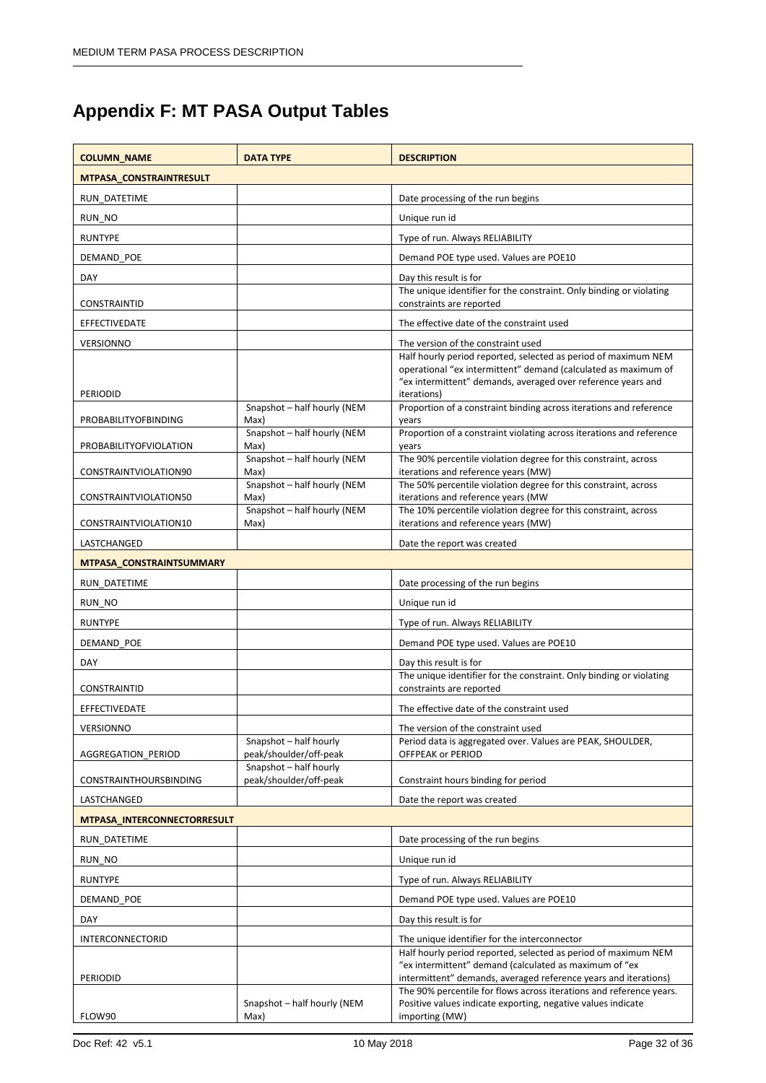# <span id="page-31-0"></span>**Appendix F: MT PASA Output Tables**

| <b>COLUMN_NAME</b>            | <b>DATA TYPE</b>                                 | <b>DESCRIPTION</b>                                                                                                                                                                                              |
|-------------------------------|--------------------------------------------------|-----------------------------------------------------------------------------------------------------------------------------------------------------------------------------------------------------------------|
| MTPASA_CONSTRAINTRESULT       |                                                  |                                                                                                                                                                                                                 |
| RUN DATETIME                  |                                                  | Date processing of the run begins                                                                                                                                                                               |
| RUN NO                        |                                                  | Unique run id                                                                                                                                                                                                   |
| <b>RUNTYPE</b>                |                                                  | Type of run. Always RELIABILITY                                                                                                                                                                                 |
| DEMAND POE                    |                                                  | Demand POE type used. Values are POE10                                                                                                                                                                          |
| DAY                           |                                                  | Day this result is for                                                                                                                                                                                          |
| CONSTRAINTID                  |                                                  | The unique identifier for the constraint. Only binding or violating<br>constraints are reported                                                                                                                 |
| EFFECTIVEDATE                 |                                                  | The effective date of the constraint used                                                                                                                                                                       |
| <b>VERSIONNO</b>              |                                                  | The version of the constraint used                                                                                                                                                                              |
| <b>PERIODID</b>               |                                                  | Half hourly period reported, selected as period of maximum NEM<br>operational "ex intermittent" demand (calculated as maximum of<br>"ex intermittent" demands, averaged over reference years and<br>iterations) |
| <b>PROBABILITYOFBINDING</b>   | Snapshot - half hourly (NEM<br>Max)              | Proportion of a constraint binding across iterations and reference<br>years                                                                                                                                     |
| <b>PROBABILITYOFVIOLATION</b> | Snapshot - half hourly (NEM<br>Max)              | Proportion of a constraint violating across iterations and reference<br>years                                                                                                                                   |
| CONSTRAINTVIOLATION90         | Snapshot - half hourly (NEM<br>Max)              | The 90% percentile violation degree for this constraint, across<br>iterations and reference years (MW)                                                                                                          |
| CONSTRAINTVIOLATION50         | Snapshot - half hourly (NEM<br>Max)              | The 50% percentile violation degree for this constraint, across<br>iterations and reference years (MW                                                                                                           |
| CONSTRAINTVIOLATION10         | Snapshot - half hourly (NEM<br>Max)              | The 10% percentile violation degree for this constraint, across<br>iterations and reference years (MW)                                                                                                          |
| LASTCHANGED                   |                                                  | Date the report was created                                                                                                                                                                                     |
| MTPASA_CONSTRAINTSUMMARY      |                                                  |                                                                                                                                                                                                                 |
| RUN_DATETIME                  |                                                  | Date processing of the run begins                                                                                                                                                                               |
| RUN_NO                        |                                                  | Unique run id                                                                                                                                                                                                   |
| <b>RUNTYPE</b>                |                                                  | Type of run. Always RELIABILITY                                                                                                                                                                                 |
| DEMAND POE                    |                                                  | Demand POE type used. Values are POE10                                                                                                                                                                          |
| DAY                           |                                                  | Day this result is for                                                                                                                                                                                          |
| CONSTRAINTID                  |                                                  | The unique identifier for the constraint. Only binding or violating<br>constraints are reported                                                                                                                 |
| EFFECTIVEDATE                 |                                                  | The effective date of the constraint used                                                                                                                                                                       |
| VERSIONNO                     |                                                  | The version of the constraint used                                                                                                                                                                              |
| AGGREGATION PERIOD            | Snapshot - half hourly<br>peak/shoulder/off-peak | Period data is aggregated over. Values are PEAK, SHOULDER,<br>OFFPEAK or PERIOD                                                                                                                                 |
| <b>CONSTRAINTHOURSBINDING</b> | Snapshot - half hourly<br>peak/shoulder/off-peak | Constraint hours binding for period                                                                                                                                                                             |
| LASTCHANGED                   |                                                  | Date the report was created                                                                                                                                                                                     |
| MTPASA_INTERCONNECTORRESULT   |                                                  |                                                                                                                                                                                                                 |
| RUN_DATETIME                  |                                                  | Date processing of the run begins                                                                                                                                                                               |
| RUN_NO                        |                                                  | Unique run id                                                                                                                                                                                                   |
| <b>RUNTYPE</b>                |                                                  | Type of run. Always RELIABILITY                                                                                                                                                                                 |
| DEMAND POE                    |                                                  | Demand POE type used. Values are POE10                                                                                                                                                                          |
| DAY                           |                                                  | Day this result is for                                                                                                                                                                                          |
| <b>INTERCONNECTORID</b>       |                                                  | The unique identifier for the interconnector                                                                                                                                                                    |
| PERIODID                      |                                                  | Half hourly period reported, selected as period of maximum NEM<br>"ex intermittent" demand (calculated as maximum of "ex<br>intermittent" demands, averaged reference years and iterations)                     |
| FLOW90                        | Snapshot - half hourly (NEM<br>Max)              | The 90% percentile for flows across iterations and reference years.<br>Positive values indicate exporting, negative values indicate<br>importing (MW)                                                           |
|                               |                                                  |                                                                                                                                                                                                                 |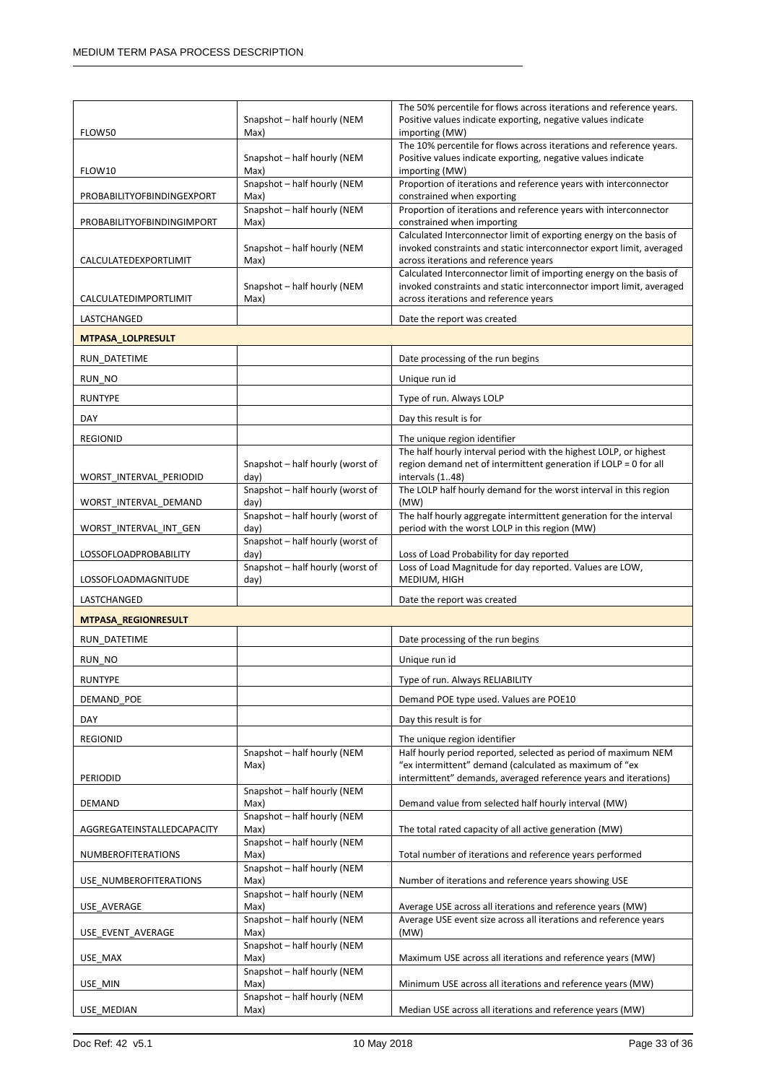| importing (MW)<br>FLOW50<br>Max)<br>The 10% percentile for flows across iterations and reference years.<br>Snapshot - half hourly (NEM<br>Positive values indicate exporting, negative values indicate<br>FLOW10<br>Max)<br>importing (MW)<br>Snapshot-half hourly (NEM<br>Proportion of iterations and reference years with interconnector<br>Max)<br>PROBABILITYOFBINDINGEXPORT<br>constrained when exporting<br>Snapshot-half hourly (NEM<br>Proportion of iterations and reference years with interconnector<br>Max)<br>constrained when importing<br>PROBABILITYOFBINDINGIMPORT<br>Calculated Interconnector limit of exporting energy on the basis of<br>invoked constraints and static interconnector export limit, averaged<br>Snapshot - half hourly (NEM |  |
|--------------------------------------------------------------------------------------------------------------------------------------------------------------------------------------------------------------------------------------------------------------------------------------------------------------------------------------------------------------------------------------------------------------------------------------------------------------------------------------------------------------------------------------------------------------------------------------------------------------------------------------------------------------------------------------------------------------------------------------------------------------------|--|
|                                                                                                                                                                                                                                                                                                                                                                                                                                                                                                                                                                                                                                                                                                                                                                    |  |
|                                                                                                                                                                                                                                                                                                                                                                                                                                                                                                                                                                                                                                                                                                                                                                    |  |
|                                                                                                                                                                                                                                                                                                                                                                                                                                                                                                                                                                                                                                                                                                                                                                    |  |
|                                                                                                                                                                                                                                                                                                                                                                                                                                                                                                                                                                                                                                                                                                                                                                    |  |
|                                                                                                                                                                                                                                                                                                                                                                                                                                                                                                                                                                                                                                                                                                                                                                    |  |
| across iterations and reference years<br>CALCULATEDEXPORTLIMIT<br>Max)                                                                                                                                                                                                                                                                                                                                                                                                                                                                                                                                                                                                                                                                                             |  |
| Calculated Interconnector limit of importing energy on the basis of                                                                                                                                                                                                                                                                                                                                                                                                                                                                                                                                                                                                                                                                                                |  |
| invoked constraints and static interconnector import limit, averaged<br>Snapshot - half hourly (NEM<br>across iterations and reference years<br>CALCULATEDIMPORTLIMIT<br>Max)                                                                                                                                                                                                                                                                                                                                                                                                                                                                                                                                                                                      |  |
| LASTCHANGED<br>Date the report was created                                                                                                                                                                                                                                                                                                                                                                                                                                                                                                                                                                                                                                                                                                                         |  |
| MTPASA_LOLPRESULT                                                                                                                                                                                                                                                                                                                                                                                                                                                                                                                                                                                                                                                                                                                                                  |  |
| RUN_DATETIME<br>Date processing of the run begins                                                                                                                                                                                                                                                                                                                                                                                                                                                                                                                                                                                                                                                                                                                  |  |
|                                                                                                                                                                                                                                                                                                                                                                                                                                                                                                                                                                                                                                                                                                                                                                    |  |
| RUN_NO<br>Unique run id                                                                                                                                                                                                                                                                                                                                                                                                                                                                                                                                                                                                                                                                                                                                            |  |
| Type of run. Always LOLP<br><b>RUNTYPE</b>                                                                                                                                                                                                                                                                                                                                                                                                                                                                                                                                                                                                                                                                                                                         |  |
| DAY<br>Day this result is for                                                                                                                                                                                                                                                                                                                                                                                                                                                                                                                                                                                                                                                                                                                                      |  |
| <b>REGIONID</b><br>The unique region identifier<br>The half hourly interval period with the highest LOLP, or highest                                                                                                                                                                                                                                                                                                                                                                                                                                                                                                                                                                                                                                               |  |
| region demand net of intermittent generation if LOLP = 0 for all<br>Snapshot-half hourly (worst of<br>intervals (148)<br>WORST_INTERVAL_PERIODID<br>day)                                                                                                                                                                                                                                                                                                                                                                                                                                                                                                                                                                                                           |  |
| Snapshot-half hourly (worst of<br>The LOLP half hourly demand for the worst interval in this region<br>day)<br>(MW)<br>WORST_INTERVAL_DEMAND                                                                                                                                                                                                                                                                                                                                                                                                                                                                                                                                                                                                                       |  |
| Snapshot - half hourly (worst of<br>The half hourly aggregate intermittent generation for the interval<br>day)<br>period with the worst LOLP in this region (MW)<br>WORST_INTERVAL_INT_GEN                                                                                                                                                                                                                                                                                                                                                                                                                                                                                                                                                                         |  |
| Snapshot - half hourly (worst of<br><b>LOSSOFLOADPROBABILITY</b><br>day)<br>Loss of Load Probability for day reported                                                                                                                                                                                                                                                                                                                                                                                                                                                                                                                                                                                                                                              |  |
| Snapshot - half hourly (worst of<br>Loss of Load Magnitude for day reported. Values are LOW,<br>MEDIUM, HIGH<br>LOSSOFLOADMAGNITUDE<br>day)                                                                                                                                                                                                                                                                                                                                                                                                                                                                                                                                                                                                                        |  |
| LASTCHANGED<br>Date the report was created                                                                                                                                                                                                                                                                                                                                                                                                                                                                                                                                                                                                                                                                                                                         |  |
| <b>MTPASA_REGIONRESULT</b>                                                                                                                                                                                                                                                                                                                                                                                                                                                                                                                                                                                                                                                                                                                                         |  |
|                                                                                                                                                                                                                                                                                                                                                                                                                                                                                                                                                                                                                                                                                                                                                                    |  |
| RUN DATETIME<br>Date processing of the run begins                                                                                                                                                                                                                                                                                                                                                                                                                                                                                                                                                                                                                                                                                                                  |  |
| Unique run id<br>RUN_NO                                                                                                                                                                                                                                                                                                                                                                                                                                                                                                                                                                                                                                                                                                                                            |  |
| <b>RUNTYPE</b><br>Type of run. Always RELIABILITY                                                                                                                                                                                                                                                                                                                                                                                                                                                                                                                                                                                                                                                                                                                  |  |
| DEMAND POE<br>Demand POE type used. Values are POE10                                                                                                                                                                                                                                                                                                                                                                                                                                                                                                                                                                                                                                                                                                               |  |
| DAY<br>Day this result is for                                                                                                                                                                                                                                                                                                                                                                                                                                                                                                                                                                                                                                                                                                                                      |  |
| <b>REGIONID</b><br>The unique region identifier                                                                                                                                                                                                                                                                                                                                                                                                                                                                                                                                                                                                                                                                                                                    |  |
| Half hourly period reported, selected as period of maximum NEM<br>Snapshot - half hourly (NEM<br>"ex intermittent" demand (calculated as maximum of "ex<br>Max)<br>intermittent" demands, averaged reference years and iterations)<br>PERIODID                                                                                                                                                                                                                                                                                                                                                                                                                                                                                                                     |  |
| Snapshot - half hourly (NEM<br>Demand value from selected half hourly interval (MW)<br><b>DEMAND</b><br>Max)                                                                                                                                                                                                                                                                                                                                                                                                                                                                                                                                                                                                                                                       |  |
| Snapshot-half hourly (NEM<br>Max)<br>The total rated capacity of all active generation (MW)<br>AGGREGATEINSTALLEDCAPACITY                                                                                                                                                                                                                                                                                                                                                                                                                                                                                                                                                                                                                                          |  |
| Snapshot-half hourly (NEM                                                                                                                                                                                                                                                                                                                                                                                                                                                                                                                                                                                                                                                                                                                                          |  |
| Max)<br>Total number of iterations and reference years performed<br>NUMBEROFITERATIONS<br>Snapshot-half hourly (NEM                                                                                                                                                                                                                                                                                                                                                                                                                                                                                                                                                                                                                                                |  |
| Max)<br>USE_NUMBEROFITERATIONS<br>Number of iterations and reference years showing USE<br>Snapshot - half hourly (NEM                                                                                                                                                                                                                                                                                                                                                                                                                                                                                                                                                                                                                                              |  |
| Average USE across all iterations and reference years (MW)<br>USE_AVERAGE<br>Max)                                                                                                                                                                                                                                                                                                                                                                                                                                                                                                                                                                                                                                                                                  |  |
| Snapshot - half hourly (NEM<br>Average USE event size across all iterations and reference years<br>Max)<br>(MW)<br>USE_EVENT_AVERAGE                                                                                                                                                                                                                                                                                                                                                                                                                                                                                                                                                                                                                               |  |
| Snapshot-half hourly (NEM<br>Max)<br>Maximum USE across all iterations and reference years (MW)<br>USE_MAX                                                                                                                                                                                                                                                                                                                                                                                                                                                                                                                                                                                                                                                         |  |
| Snapshot - half hourly (NEM<br>Max)<br>Minimum USE across all iterations and reference years (MW)<br>USE MIN                                                                                                                                                                                                                                                                                                                                                                                                                                                                                                                                                                                                                                                       |  |
| Snapshot - half hourly (NEM<br>Median USE across all iterations and reference years (MW)<br>USE_MEDIAN<br>Max)                                                                                                                                                                                                                                                                                                                                                                                                                                                                                                                                                                                                                                                     |  |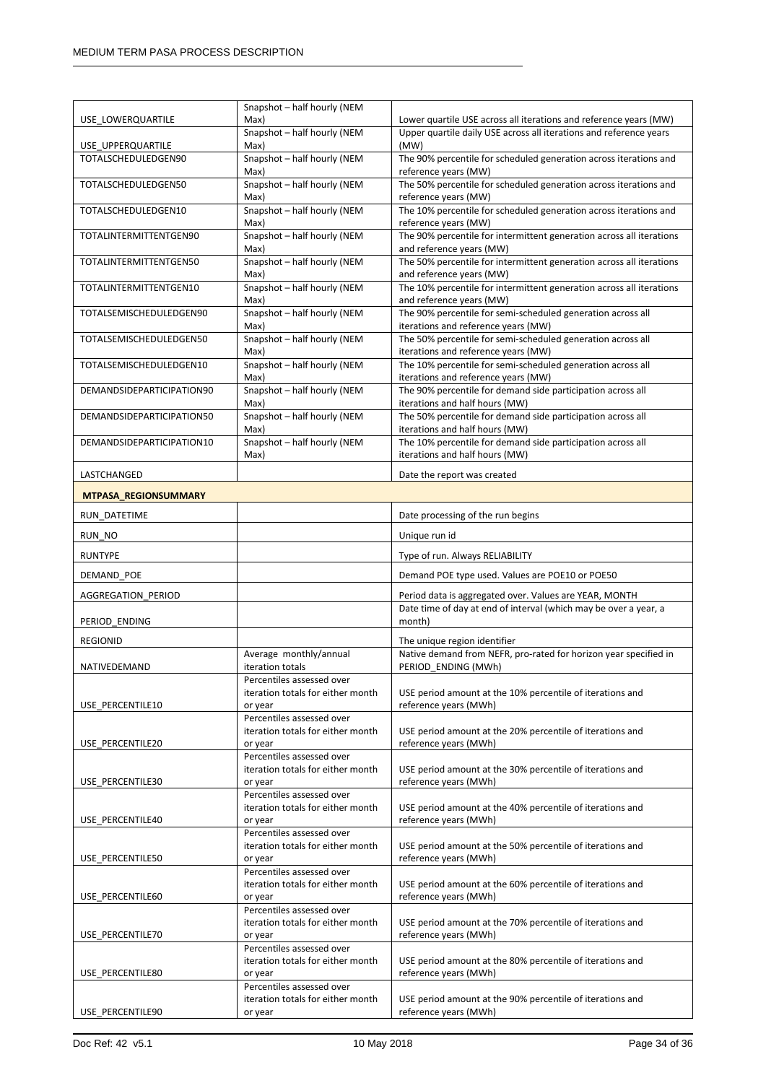|                             | Snapshot - half hourly (NEM                                    |                                                                                               |
|-----------------------------|----------------------------------------------------------------|-----------------------------------------------------------------------------------------------|
| USE LOWERQUARTILE           | Max)                                                           | Lower quartile USE across all iterations and reference years (MW)                             |
|                             | Snapshot - half hourly (NEM                                    | Upper quartile daily USE across all iterations and reference years                            |
| USE_UPPERQUARTILE           | Max)                                                           | (MW)                                                                                          |
| TOTALSCHEDULEDGEN90         | Snapshot-half hourly (NEM                                      | The 90% percentile for scheduled generation across iterations and                             |
|                             | Max)                                                           | reference years (MW)                                                                          |
| TOTALSCHEDULEDGEN50         | Snapshot - half hourly (NEM<br>Max)                            | The 50% percentile for scheduled generation across iterations and<br>reference years (MW)     |
| TOTALSCHEDULEDGEN10         | Snapshot - half hourly (NEM                                    | The 10% percentile for scheduled generation across iterations and                             |
|                             | Max)                                                           | reference years (MW)                                                                          |
| TOTALINTERMITTENTGEN90      | Snapshot-half hourly (NEM                                      | The 90% percentile for intermittent generation across all iterations                          |
|                             | Max)                                                           | and reference years (MW)                                                                      |
| TOTALINTERMITTENTGEN50      | Snapshot - half hourly (NEM                                    | The 50% percentile for intermittent generation across all iterations                          |
|                             | Max)                                                           | and reference years (MW)                                                                      |
| TOTALINTERMITTENTGEN10      | Snapshot-half hourly (NEM                                      | The 10% percentile for intermittent generation across all iterations                          |
| TOTALSEMISCHEDULEDGEN90     | Max)<br>Snapshot-half hourly (NEM                              | and reference years (MW)<br>The 90% percentile for semi-scheduled generation across all       |
|                             | Max)                                                           | iterations and reference years (MW)                                                           |
| TOTALSEMISCHEDULEDGEN50     | Snapshot-half hourly (NEM                                      | The 50% percentile for semi-scheduled generation across all                                   |
|                             | Max)                                                           | iterations and reference years (MW)                                                           |
| TOTALSEMISCHEDULEDGEN10     | Snapshot-half hourly (NEM                                      | The 10% percentile for semi-scheduled generation across all                                   |
|                             | Max)                                                           | iterations and reference years (MW)                                                           |
| DEMANDSIDEPARTICIPATION90   | Snapshot-half hourly (NEM                                      | The 90% percentile for demand side participation across all                                   |
| DEMANDSIDEPARTICIPATION50   | Max)<br>Snapshot-half hourly (NEM                              | iterations and half hours (MW)<br>The 50% percentile for demand side participation across all |
|                             | Max)                                                           | iterations and half hours (MW)                                                                |
| DEMANDSIDEPARTICIPATION10   | Snapshot-half hourly (NEM                                      | The 10% percentile for demand side participation across all                                   |
|                             | Max)                                                           | iterations and half hours (MW)                                                                |
| LASTCHANGED                 |                                                                | Date the report was created                                                                   |
|                             |                                                                |                                                                                               |
| <b>MTPASA REGIONSUMMARY</b> |                                                                |                                                                                               |
| RUN_DATETIME                |                                                                | Date processing of the run begins                                                             |
| RUN NO                      |                                                                | Unique run id                                                                                 |
| RUNTYPE                     |                                                                | Type of run. Always RELIABILITY                                                               |
| DEMAND_POE                  |                                                                | Demand POE type used. Values are POE10 or POE50                                               |
| AGGREGATION_PERIOD          |                                                                | Period data is aggregated over. Values are YEAR, MONTH                                        |
|                             |                                                                | Date time of day at end of interval (which may be over a year, a                              |
| PERIOD_ENDING               |                                                                | month)                                                                                        |
| <b>REGIONID</b>             |                                                                | The unique region identifier                                                                  |
|                             | Average monthly/annual                                         | Native demand from NEFR, pro-rated for horizon year specified in                              |
| NATIVEDEMAND                | iteration totals                                               | PERIOD ENDING (MWh)                                                                           |
|                             | Percentiles assessed over                                      |                                                                                               |
|                             | iteration totals for either month                              | USE period amount at the 10% percentile of iterations and                                     |
| USE PERCENTILE10            | or year                                                        | reference years (MWh)                                                                         |
|                             | Percentiles assessed over<br>iteration totals for either month |                                                                                               |
| USE PERCENTILE20            | or year                                                        | USE period amount at the 20% percentile of iterations and<br>reference years (MWh)            |
|                             | Percentiles assessed over                                      |                                                                                               |
|                             | iteration totals for either month                              | USE period amount at the 30% percentile of iterations and                                     |
| USE PERCENTILE30            | or year                                                        | reference years (MWh)                                                                         |
|                             | Percentiles assessed over                                      |                                                                                               |
| USE PERCENTILE40            | iteration totals for either month<br>or year                   | USE period amount at the 40% percentile of iterations and<br>reference years (MWh)            |
|                             | Percentiles assessed over                                      |                                                                                               |
|                             | iteration totals for either month                              | USE period amount at the 50% percentile of iterations and                                     |
| USE PERCENTILE50            | or year                                                        | reference years (MWh)                                                                         |
|                             | Percentiles assessed over                                      |                                                                                               |
|                             | iteration totals for either month                              | USE period amount at the 60% percentile of iterations and                                     |
| USE_PERCENTILE60            | or year<br>Percentiles assessed over                           | reference years (MWh)                                                                         |
|                             | iteration totals for either month                              | USE period amount at the 70% percentile of iterations and                                     |
| USE_PERCENTILE70            | or year                                                        | reference years (MWh)                                                                         |
|                             | Percentiles assessed over                                      |                                                                                               |
|                             | iteration totals for either month                              | USE period amount at the 80% percentile of iterations and                                     |
| USE_PERCENTILE80            | or year<br>Percentiles assessed over                           | reference years (MWh)                                                                         |
|                             | iteration totals for either month                              | USE period amount at the 90% percentile of iterations and                                     |
|                             | or year                                                        | reference years (MWh)                                                                         |
| USE_PERCENTILE90            |                                                                |                                                                                               |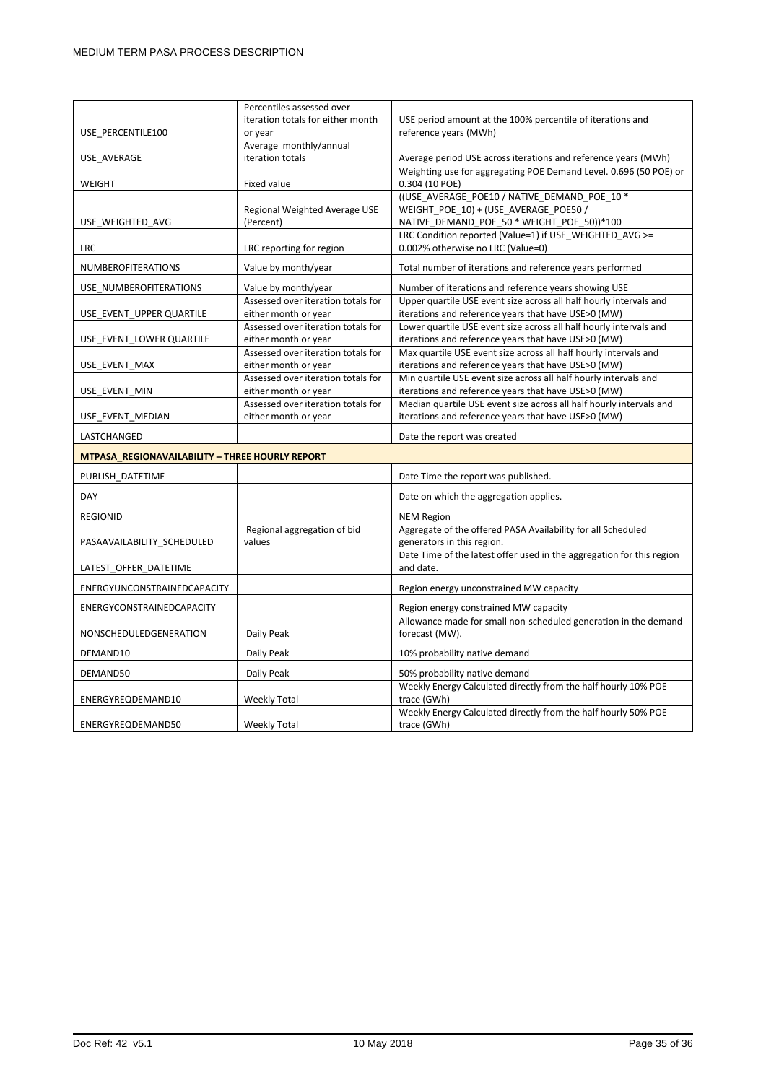|                                                        | Percentiles assessed over          |                                                                                                                                     |  |  |
|--------------------------------------------------------|------------------------------------|-------------------------------------------------------------------------------------------------------------------------------------|--|--|
|                                                        | iteration totals for either month  | USE period amount at the 100% percentile of iterations and                                                                          |  |  |
| USE PERCENTILE100                                      | or year                            | reference years (MWh)                                                                                                               |  |  |
|                                                        | Average monthly/annual             |                                                                                                                                     |  |  |
| USE AVERAGE                                            | iteration totals                   | Average period USE across iterations and reference years (MWh)<br>Weighting use for aggregating POE Demand Level. 0.696 (50 POE) or |  |  |
| WEIGHT                                                 | Fixed value                        | 0.304 (10 POE)                                                                                                                      |  |  |
|                                                        |                                    | ((USE_AVERAGE_POE10 / NATIVE_DEMAND_POE_10 *                                                                                        |  |  |
|                                                        | Regional Weighted Average USE      | WEIGHT POE 10) + (USE AVERAGE POE50 /                                                                                               |  |  |
| USE WEIGHTED AVG                                       | (Percent)                          | NATIVE_DEMAND_POE_50 * WEIGHT_POE_50))*100                                                                                          |  |  |
|                                                        |                                    | LRC Condition reported (Value=1) if USE WEIGHTED AVG >=                                                                             |  |  |
| LRC                                                    | LRC reporting for region           | 0.002% otherwise no LRC (Value=0)                                                                                                   |  |  |
| <b>NUMBEROFITERATIONS</b>                              | Value by month/year                | Total number of iterations and reference years performed                                                                            |  |  |
| USE_NUMBEROFITERATIONS                                 | Value by month/year                | Number of iterations and reference years showing USE                                                                                |  |  |
|                                                        | Assessed over iteration totals for | Upper quartile USE event size across all half hourly intervals and                                                                  |  |  |
| USE_EVENT_UPPER QUARTILE                               | either month or year               | iterations and reference years that have USE>0 (MW)                                                                                 |  |  |
|                                                        | Assessed over iteration totals for | Lower quartile USE event size across all half hourly intervals and                                                                  |  |  |
| USE EVENT LOWER QUARTILE                               | either month or year               | iterations and reference years that have USE>0 (MW)                                                                                 |  |  |
|                                                        | Assessed over iteration totals for | Max quartile USE event size across all half hourly intervals and                                                                    |  |  |
| USE EVENT MAX                                          | either month or year               | iterations and reference years that have USE>0 (MW)                                                                                 |  |  |
|                                                        | Assessed over iteration totals for | Min quartile USE event size across all half hourly intervals and                                                                    |  |  |
| USE EVENT MIN                                          | either month or year               | iterations and reference years that have USE>0 (MW)                                                                                 |  |  |
|                                                        | Assessed over iteration totals for | Median quartile USE event size across all half hourly intervals and                                                                 |  |  |
| USE EVENT MEDIAN                                       | either month or year               | iterations and reference years that have USE>0 (MW)                                                                                 |  |  |
| LASTCHANGED                                            |                                    | Date the report was created                                                                                                         |  |  |
| <b>MTPASA REGIONAVAILABILITY - THREE HOURLY REPORT</b> |                                    |                                                                                                                                     |  |  |
| PUBLISH_DATETIME                                       |                                    | Date Time the report was published.                                                                                                 |  |  |
| DAY                                                    |                                    | Date on which the aggregation applies.                                                                                              |  |  |
| <b>REGIONID</b>                                        |                                    | <b>NEM Region</b>                                                                                                                   |  |  |
|                                                        | Regional aggregation of bid        | Aggregate of the offered PASA Availability for all Scheduled                                                                        |  |  |
| PASAAVAILABILITY_SCHEDULED                             | values                             | generators in this region.                                                                                                          |  |  |
|                                                        |                                    | Date Time of the latest offer used in the aggregation for this region                                                               |  |  |
| LATEST OFFER DATETIME                                  |                                    | and date.                                                                                                                           |  |  |
| ENERGYUNCONSTRAINEDCAPACITY                            |                                    | Region energy unconstrained MW capacity                                                                                             |  |  |
| ENERGYCONSTRAINEDCAPACITY                              |                                    | Region energy constrained MW capacity                                                                                               |  |  |
|                                                        |                                    | Allowance made for small non-scheduled generation in the demand                                                                     |  |  |
| NONSCHEDULEDGENERATION                                 | Daily Peak                         | forecast (MW).                                                                                                                      |  |  |
| DEMAND10                                               | Daily Peak                         | 10% probability native demand                                                                                                       |  |  |
| DEMAND50                                               | Daily Peak                         | 50% probability native demand                                                                                                       |  |  |
|                                                        |                                    | Weekly Energy Calculated directly from the half hourly 10% POE                                                                      |  |  |
| ENERGYREQDEMAND10                                      | <b>Weekly Total</b>                | trace (GWh)                                                                                                                         |  |  |
|                                                        |                                    | Weekly Energy Calculated directly from the half hourly 50% POE                                                                      |  |  |
| ENERGYREQDEMAND50                                      | <b>Weekly Total</b>                | trace (GWh)                                                                                                                         |  |  |